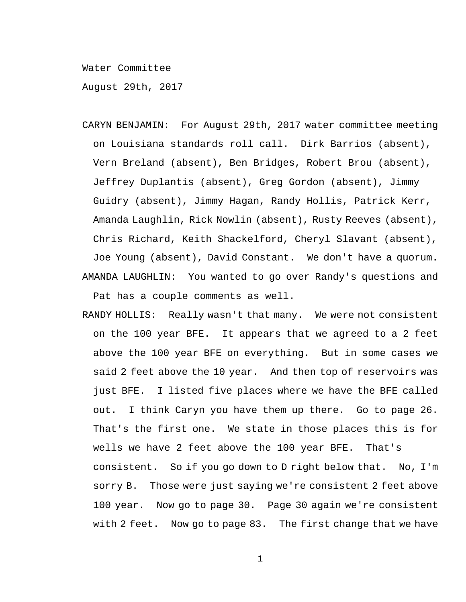Water Committee

August 29th, 2017

- CARYN BENJAMIN: For August 29th, 2017 water committee meeting on Louisiana standards roll call. Dirk Barrios (absent), Vern Breland (absent), Ben Bridges, Robert Brou (absent), Jeffrey Duplantis (absent), Greg Gordon (absent), Jimmy Guidry (absent), Jimmy Hagan, Randy Hollis, Patrick Kerr, Amanda Laughlin, Rick Nowlin (absent), Rusty Reeves (absent), Chris Richard, Keith Shackelford, Cheryl Slavant (absent), Joe Young (absent), David Constant. We don't have a quorum**.** AMANDA LAUGHLIN: You wanted to go over Randy's questions and Pat has a couple comments as well.
- RANDY HOLLIS: Really wasn't that many. We were not consistent on the 100 year BFE. It appears that we agreed to a 2 feet above the 100 year BFE on everything. But in some cases we said 2 feet above the 10 year. And then top of reservoirs was just BFE. I listed five places where we have the BFE called out. I think Caryn you have them up there. Go to page 26. That's the first one. We state in those places this is for wells we have 2 feet above the 100 year BFE. That's consistent. So if you go down to D right below that. No, I'm sorry B. Those were just saying we're consistent 2 feet above 100 year. Now go to page 30. Page 30 again we're consistent with 2 feet. Now go to page 83. The first change that we have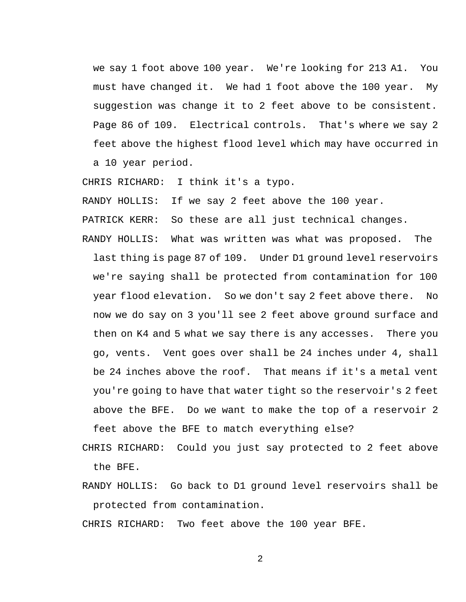we say 1 foot above 100 year. We're looking for 213 A1. You must have changed it. We had 1 foot above the 100 year. My suggestion was change it to 2 feet above to be consistent. Page 86 of 109. Electrical controls. That's where we say 2 feet above the highest flood level which may have occurred in a 10 year period.

CHRIS RICHARD: I think it's a typo.

RANDY HOLLIS: If we say 2 feet above the 100 year.

PATRICK KERR: So these are all just technical changes.

RANDY HOLLIS: What was written was what was proposed. The last thing is page 87 of 109. Under D1 ground level reservoirs we're saying shall be protected from contamination for 100 year flood elevation. So we don't say 2 feet above there. No now we do say on 3 you'll see 2 feet above ground surface and then on K4 and 5 what we say there is any accesses. There you go, vents. Vent goes over shall be 24 inches under 4, shall be 24 inches above the roof. That means if it's a metal vent you're going to have that water tight so the reservoir's 2 feet above the BFE. Do we want to make the top of a reservoir 2 feet above the BFE to match everything else?

CHRIS RICHARD: Could you just say protected to 2 feet above the BFE.

RANDY HOLLIS: Go back to D1 ground level reservoirs shall be protected from contamination.

CHRIS RICHARD: Two feet above the 100 year BFE.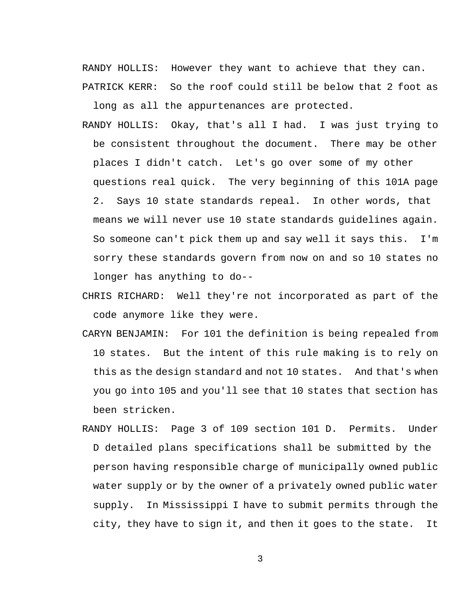RANDY HOLLIS: However they want to achieve that they can. PATRICK KERR: So the roof could still be below that 2 foot as

long as all the appurtenances are protected.

- RANDY HOLLIS: Okay, that's all I had. I was just trying to be consistent throughout the document. There may be other places I didn't catch. Let's go over some of my other questions real quick. The very beginning of this 101A page 2. Says 10 state standards repeal. In other words, that means we will never use 10 state standards guidelines again. So someone can't pick them up and say well it says this. I'm sorry these standards govern from now on and so 10 states no longer has anything to do--
- CHRIS RICHARD: Well they're not incorporated as part of the code anymore like they were.
- CARYN BENJAMIN: For 101 the definition is being repealed from 10 states. But the intent of this rule making is to rely on this as the design standard and not 10 states. And that's when you go into 105 and you'll see that 10 states that section has been stricken.
- RANDY HOLLIS: Page 3 of 109 section 101 D. Permits. Under D detailed plans specifications shall be submitted by the person having responsible charge of municipally owned public water supply or by the owner of a privately owned public water supply. In Mississippi I have to submit permits through the city, they have to sign it, and then it goes to the state. It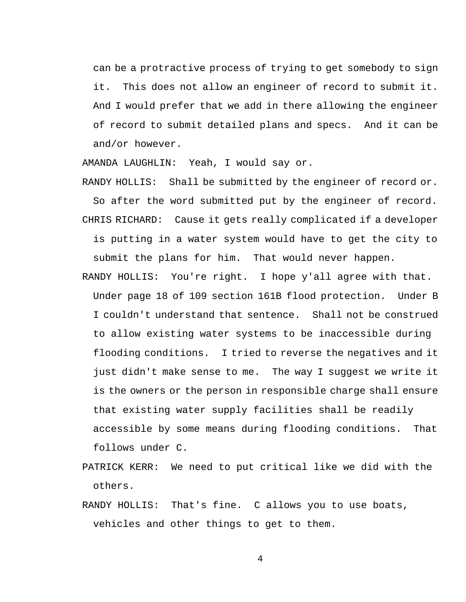can be a protractive process of trying to get somebody to sign it. This does not allow an engineer of record to submit it. And I would prefer that we add in there allowing the engineer of record to submit detailed plans and specs. And it can be and/or however.

AMANDA LAUGHLIN: Yeah, I would say or.

RANDY HOLLIS: Shall be submitted by the engineer of record or. So after the word submitted put by the engineer of record. CHRIS RICHARD: Cause it gets really complicated if a developer is putting in a water system would have to get the city to submit the plans for him. That would never happen.

- RANDY HOLLIS: You're right. I hope y'all agree with that. Under page 18 of 109 section 161B flood protection. Under B I couldn't understand that sentence. Shall not be construed to allow existing water systems to be inaccessible during flooding conditions. I tried to reverse the negatives and it just didn't make sense to me. The way I suggest we write it is the owners or the person in responsible charge shall ensure that existing water supply facilities shall be readily accessible by some means during flooding conditions. That follows under C.
- PATRICK KERR: We need to put critical like we did with the others.
- RANDY HOLLIS: That's fine. C allows you to use boats, vehicles and other things to get to them.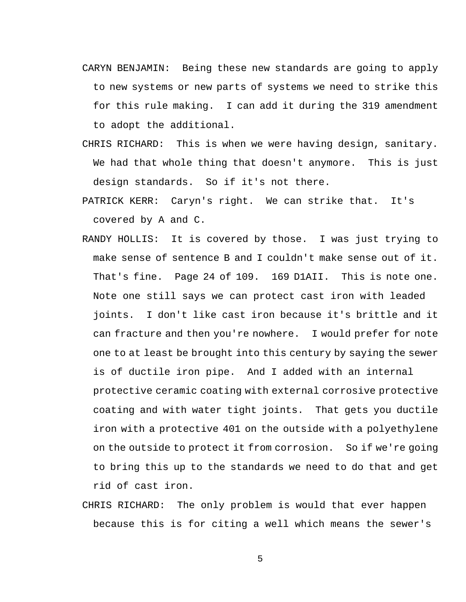- CARYN BENJAMIN: Being these new standards are going to apply to new systems or new parts of systems we need to strike this for this rule making. I can add it during the 319 amendment to adopt the additional.
- CHRIS RICHARD: This is when we were having design, sanitary. We had that whole thing that doesn't anymore. This is just design standards. So if it's not there.
- PATRICK KERR: Caryn's right. We can strike that. It's covered by A and C.
- RANDY HOLLIS: It is covered by those. I was just trying to make sense of sentence B and I couldn't make sense out of it. That's fine. Page 24 of 109. 169 D1AII. This is note one. Note one still says we can protect cast iron with leaded joints. I don't like cast iron because it's brittle and it can fracture and then you're nowhere. I would prefer for note one to at least be brought into this century by saying the sewer is of ductile iron pipe. And I added with an internal protective ceramic coating with external corrosive protective coating and with water tight joints. That gets you ductile iron with a protective 401 on the outside with a polyethylene on the outside to protect it from corrosion. So if we're going to bring this up to the standards we need to do that and get rid of cast iron.
- CHRIS RICHARD: The only problem is would that ever happen because this is for citing a well which means the sewer's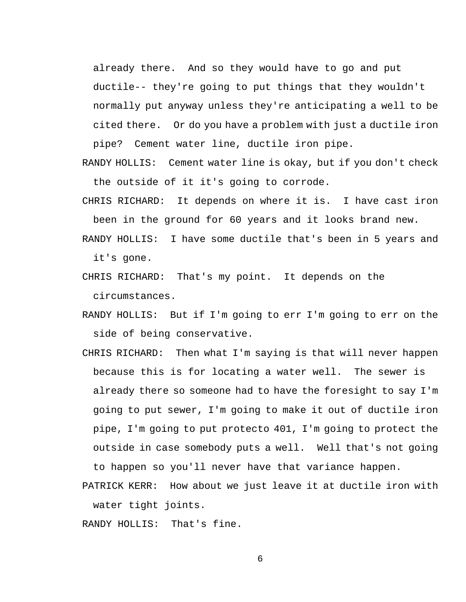already there. And so they would have to go and put ductile-- they're going to put things that they wouldn't normally put anyway unless they're anticipating a well to be cited there. Or do you have a problem with just a ductile iron pipe? Cement water line, ductile iron pipe.

- RANDY HOLLIS: Cement water line is okay, but if you don't check the outside of it it's going to corrode.
- CHRIS RICHARD: It depends on where it is. I have cast iron been in the ground for 60 years and it looks brand new.
- RANDY HOLLIS: I have some ductile that's been in 5 years and it's gone.
- CHRIS RICHARD: That's my point. It depends on the circumstances.
- RANDY HOLLIS: But if I'm going to err I'm going to err on the side of being conservative.
- CHRIS RICHARD: Then what I'm saying is that will never happen because this is for locating a water well. The sewer is already there so someone had to have the foresight to say I'm going to put sewer, I'm going to make it out of ductile iron pipe, I'm going to put protecto 401, I'm going to protect the outside in case somebody puts a well. Well that's not going

to happen so you'll never have that variance happen.

PATRICK KERR: How about we just leave it at ductile iron with water tight joints.

RANDY HOLLIS: That's fine.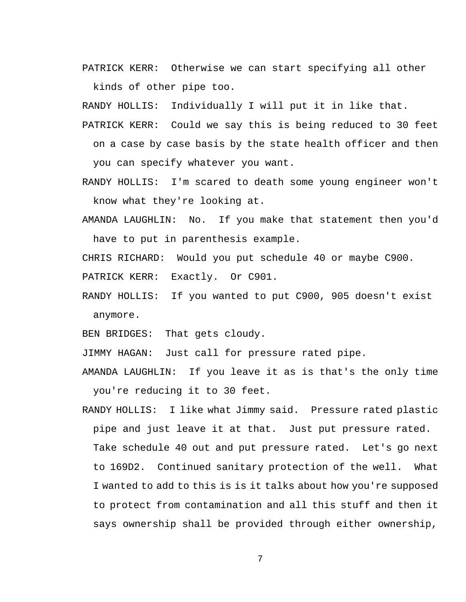PATRICK KERR: Otherwise we can start specifying all other kinds of other pipe too.

RANDY HOLLIS: Individually I will put it in like that.

- PATRICK KERR: Could we say this is being reduced to 30 feet on a case by case basis by the state health officer and then you can specify whatever you want.
- RANDY HOLLIS: I'm scared to death some young engineer won't know what they're looking at.
- AMANDA LAUGHLIN: No. If you make that statement then you'd have to put in parenthesis example.

CHRIS RICHARD: Would you put schedule 40 or maybe C900.

PATRICK KERR: Exactly. Or C901.

RANDY HOLLIS: If you wanted to put C900, 905 doesn't exist anymore.

BEN BRIDGES: That gets cloudy.

JIMMY HAGAN: Just call for pressure rated pipe.

AMANDA LAUGHLIN: If you leave it as is that's the only time you're reducing it to 30 feet.

RANDY HOLLIS: I like what Jimmy said. Pressure rated plastic pipe and just leave it at that. Just put pressure rated. Take schedule 40 out and put pressure rated. Let's go next to 169D2. Continued sanitary protection of the well. What I wanted to add to this is is it talks about how you're supposed to protect from contamination and all this stuff and then it says ownership shall be provided through either ownership,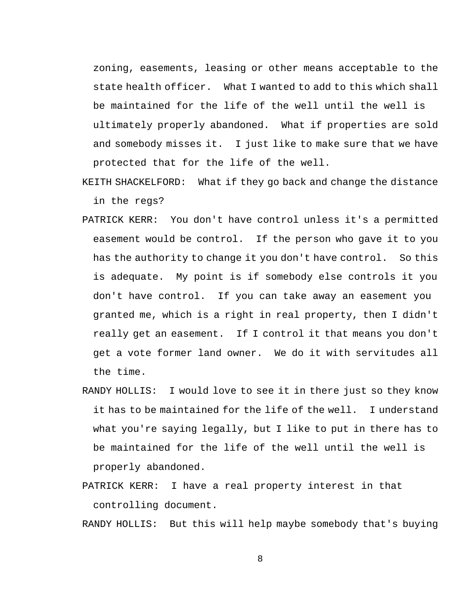zoning, easements, leasing or other means acceptable to the state health officer. What I wanted to add to this which shall be maintained for the life of the well until the well is ultimately properly abandoned. What if properties are sold and somebody misses it. I just like to make sure that we have protected that for the life of the well.

- KEITH SHACKELFORD: What if they go back and change the distance in the regs?
- PATRICK KERR: You don't have control unless it's a permitted easement would be control. If the person who gave it to you has the authority to change it you don't have control. So this is adequate. My point is if somebody else controls it you don't have control. If you can take away an easement you granted me, which is a right in real property, then I didn't really get an easement. If I control it that means you don't get a vote former land owner. We do it with servitudes all the time.
- RANDY HOLLIS: I would love to see it in there just so they know it has to be maintained for the life of the well. I understand what you're saying legally, but I like to put in there has to be maintained for the life of the well until the well is properly abandoned.
- PATRICK KERR: I have a real property interest in that controlling document.

RANDY HOLLIS: But this will help maybe somebody that's buying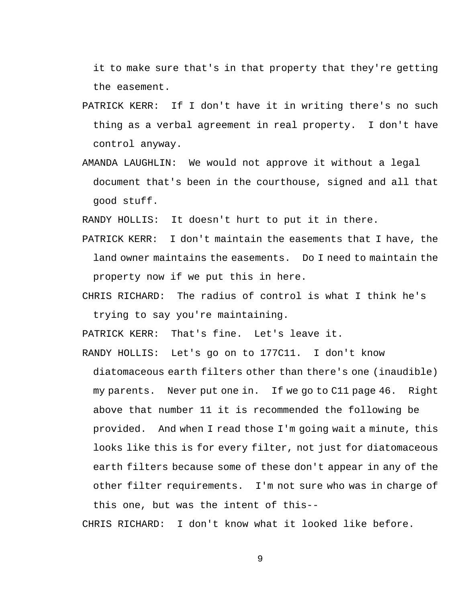it to make sure that's in that property that they're getting the easement.

- PATRICK KERR: If I don't have it in writing there's no such thing as a verbal agreement in real property. I don't have control anyway.
- AMANDA LAUGHLIN: We would not approve it without a legal document that's been in the courthouse, signed and all that good stuff.

RANDY HOLLIS: It doesn't hurt to put it in there.

- PATRICK KERR: I don't maintain the easements that I have, the land owner maintains the easements. Do I need to maintain the property now if we put this in here.
- CHRIS RICHARD: The radius of control is what I think he's trying to say you're maintaining.

PATRICK KERR: That's fine. Let's leave it.

RANDY HOLLIS: Let's go on to 177C11. I don't know

diatomaceous earth filters other than there's one (inaudible) my parents. Never put one in. If we go to C11 page 46. Right above that number 11 it is recommended the following be provided. And when I read those I'm going wait a minute, this looks like this is for every filter, not just for diatomaceous earth filters because some of these don't appear in any of the other filter requirements. I'm not sure who was in charge of this one, but was the intent of this--

CHRIS RICHARD: I don't know what it looked like before.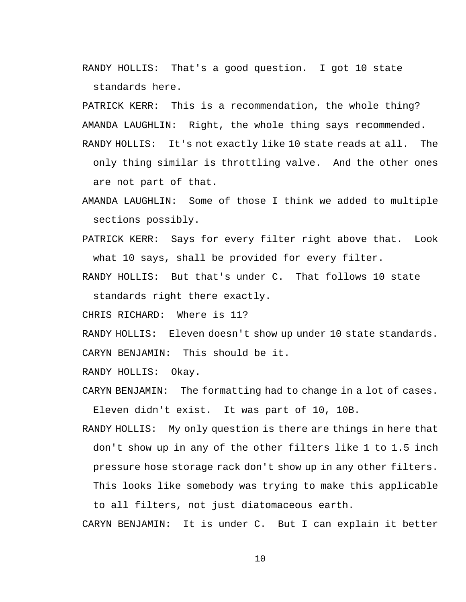RANDY HOLLIS: That's a good question. I got 10 state standards here.

PATRICK KERR: This is a recommendation, the whole thing? AMANDA LAUGHLIN: Right, the whole thing says recommended. RANDY HOLLIS: It's not exactly like 10 state reads at all. The only thing similar is throttling valve. And the other ones are not part of that.

- AMANDA LAUGHLIN: Some of those I think we added to multiple sections possibly.
- PATRICK KERR: Says for every filter right above that. Look what 10 says, shall be provided for every filter.
- RANDY HOLLIS: But that's under C. That follows 10 state standards right there exactly.

CHRIS RICHARD: Where is 11?

RANDY HOLLIS: Eleven doesn't show up under 10 state standards.

CARYN BENJAMIN: This should be it.

RANDY HOLLIS: Okay.

CARYN BENJAMIN: The formatting had to change in a lot of cases. Eleven didn't exist. It was part of 10, 10B.

RANDY HOLLIS: My only question is there are things in here that don't show up in any of the other filters like 1 to 1.5 inch pressure hose storage rack don't show up in any other filters. This looks like somebody was trying to make this applicable to all filters, not just diatomaceous earth.

CARYN BENJAMIN: It is under C. But I can explain it better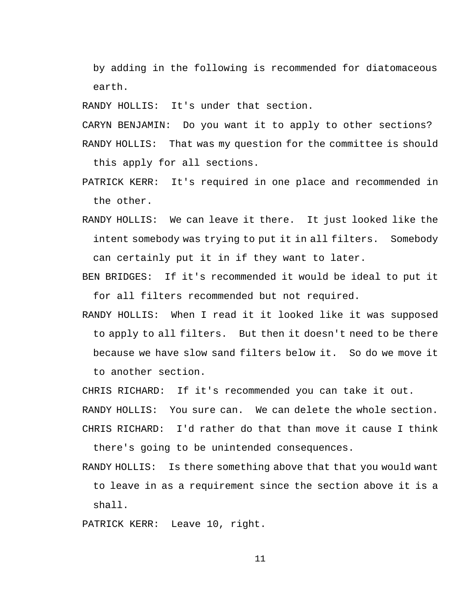by adding in the following is recommended for diatomaceous earth.

RANDY HOLLIS: It's under that section.

CARYN BENJAMIN: Do you want it to apply to other sections? RANDY HOLLIS: That was my question for the committee is should this apply for all sections.

- PATRICK KERR: It's required in one place and recommended in the other.
- RANDY HOLLIS: We can leave it there. It just looked like the intent somebody was trying to put it in all filters. Somebody can certainly put it in if they want to later.
- BEN BRIDGES: If it's recommended it would be ideal to put it for all filters recommended but not required.
- RANDY HOLLIS: When I read it it looked like it was supposed to apply to all filters. But then it doesn't need to be there because we have slow sand filters below it. So do we move it to another section.

CHRIS RICHARD: If it's recommended you can take it out.

RANDY HOLLIS: You sure can. We can delete the whole section.

CHRIS RICHARD: I'd rather do that than move it cause I think there's going to be unintended consequences.

RANDY HOLLIS: Is there something above that that you would want

to leave in as a requirement since the section above it is a shall.

PATRICK KERR: Leave 10, right.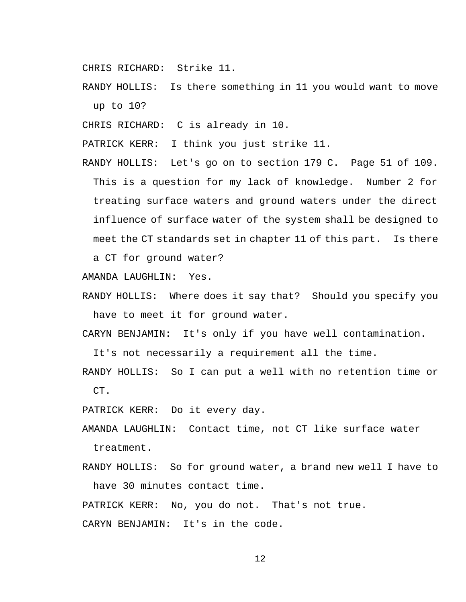CHRIS RICHARD: Strike 11.

RANDY HOLLIS: Is there something in 11 you would want to move up to 10?

CHRIS RICHARD: C is already in 10.

PATRICK KERR: I think you just strike 11.

RANDY HOLLIS: Let's go on to section 179 C. Page 51 of 109. This is a question for my lack of knowledge. Number 2 for treating surface waters and ground waters under the direct influence of surface water of the system shall be designed to meet the CT standards set in chapter 11 of this part. Is there

a CT for ground water?

AMANDA LAUGHLIN: Yes.

RANDY HOLLIS: Where does it say that? Should you specify you have to meet it for ground water.

CARYN BENJAMIN: It's only if you have well contamination.

It's not necessarily a requirement all the time.

RANDY HOLLIS: So I can put a well with no retention time or CT.

PATRICK KERR: Do it every day.

AMANDA LAUGHLIN: Contact time, not CT like surface water treatment.

RANDY HOLLIS: So for ground water, a brand new well I have to have 30 minutes contact time.

PATRICK KERR: No, you do not. That's not true.

CARYN BENJAMIN: It's in the code.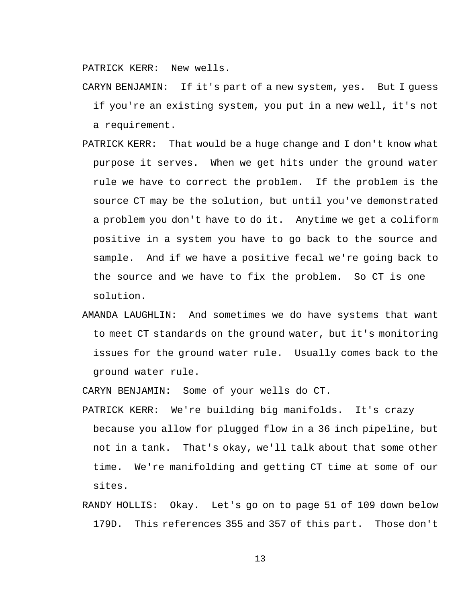PATRICK KERR: New wells.

CARYN BENJAMIN: If it's part of a new system, yes. But I guess if you're an existing system, you put in a new well, it's not a requirement.

- PATRICK KERR: That would be a huge change and I don't know what purpose it serves. When we get hits under the ground water rule we have to correct the problem. If the problem is the source CT may be the solution, but until you've demonstrated a problem you don't have to do it. Anytime we get a coliform positive in a system you have to go back to the source and sample. And if we have a positive fecal we're going back to the source and we have to fix the problem. So CT is one solution.
- AMANDA LAUGHLIN: And sometimes we do have systems that want to meet CT standards on the ground water, but it's monitoring issues for the ground water rule. Usually comes back to the ground water rule.

CARYN BENJAMIN: Some of your wells do CT.

- PATRICK KERR: We're building big manifolds. It's crazy because you allow for plugged flow in a 36 inch pipeline, but not in a tank. That's okay, we'll talk about that some other time. We're manifolding and getting CT time at some of our sites.
- RANDY HOLLIS: Okay. Let's go on to page 51 of 109 down below 179D. This references 355 and 357 of this part. Those don't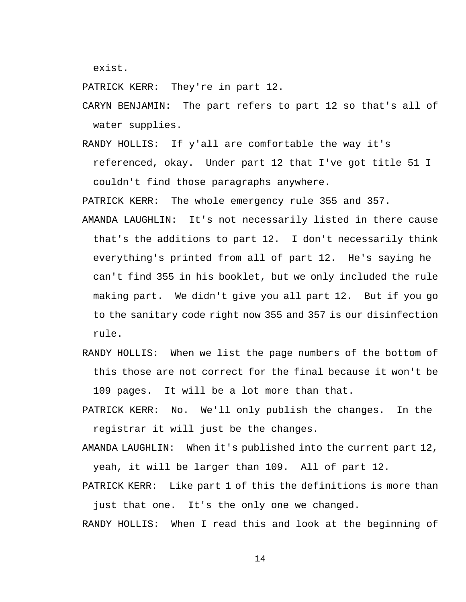exist.

PATRICK KERR: They're in part 12.

CARYN BENJAMIN: The part refers to part 12 so that's all of water supplies.

RANDY HOLLIS: If y'all are comfortable the way it's referenced, okay. Under part 12 that I've got title 51 I couldn't find those paragraphs anywhere.

PATRICK KERR: The whole emergency rule 355 and 357.

- AMANDA LAUGHLIN: It's not necessarily listed in there cause that's the additions to part 12. I don't necessarily think everything's printed from all of part 12. He's saying he can't find 355 in his booklet, but we only included the rule making part. We didn't give you all part 12. But if you go to the sanitary code right now 355 and 357 is our disinfection rule.
- RANDY HOLLIS: When we list the page numbers of the bottom of this those are not correct for the final because it won't be 109 pages. It will be a lot more than that.
- PATRICK KERR: No. We'll only publish the changes. In the registrar it will just be the changes.
- AMANDA LAUGHLIN: When it's published into the current part 12, yeah, it will be larger than 109. All of part 12.

PATRICK KERR: Like part 1 of this the definitions is more than just that one. It's the only one we changed.

RANDY HOLLIS: When I read this and look at the beginning of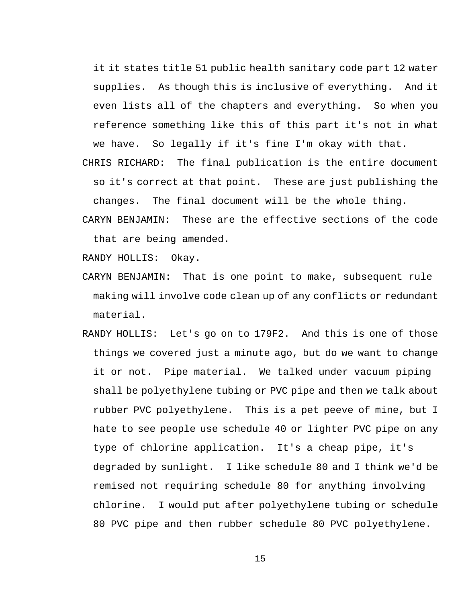it it states title 51 public health sanitary code part 12 water supplies. As though this is inclusive of everything. And it even lists all of the chapters and everything. So when you reference something like this of this part it's not in what we have. So legally if it's fine I'm okay with that.

CHRIS RICHARD: The final publication is the entire document so it's correct at that point. These are just publishing the changes. The final document will be the whole thing.

CARYN BENJAMIN: These are the effective sections of the code that are being amended.

RANDY HOLLIS: Okay.

- CARYN BENJAMIN: That is one point to make, subsequent rule making will involve code clean up of any conflicts or redundant material.
- RANDY HOLLIS: Let's go on to 179F2. And this is one of those things we covered just a minute ago, but do we want to change it or not. Pipe material. We talked under vacuum piping shall be polyethylene tubing or PVC pipe and then we talk about rubber PVC polyethylene. This is a pet peeve of mine, but I hate to see people use schedule 40 or lighter PVC pipe on any type of chlorine application. It's a cheap pipe, it's degraded by sunlight. I like schedule 80 and I think we'd be remised not requiring schedule 80 for anything involving chlorine. I would put after polyethylene tubing or schedule 80 PVC pipe and then rubber schedule 80 PVC polyethylene.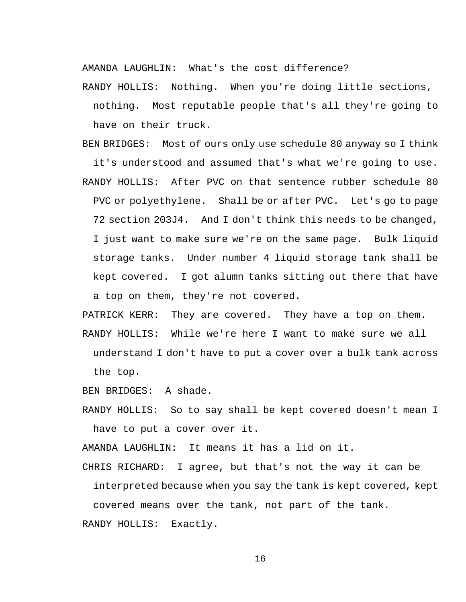AMANDA LAUGHLIN: What's the cost difference?

RANDY HOLLIS: Nothing. When you're doing little sections, nothing. Most reputable people that's all they're going to have on their truck.

BEN BRIDGES: Most of ours only use schedule 80 anyway so I think it's understood and assumed that's what we're going to use. RANDY HOLLIS: After PVC on that sentence rubber schedule 80 PVC or polyethylene. Shall be or after PVC. Let's go to page 72 section 203J4. And I don't think this needs to be changed, I just want to make sure we're on the same page. Bulk liquid storage tanks. Under number 4 liquid storage tank shall be kept covered. I got alumn tanks sitting out there that have a top on them, they're not covered.

PATRICK KERR: They are covered. They have a top on them. RANDY HOLLIS: While we're here I want to make sure we all understand I don't have to put a cover over a bulk tank across the top.

BEN BRIDGES: A shade.

RANDY HOLLIS: So to say shall be kept covered doesn't mean I have to put a cover over it.

AMANDA LAUGHLIN: It means it has a lid on it.

CHRIS RICHARD: I agree, but that's not the way it can be interpreted because when you say the tank is kept covered, kept covered means over the tank, not part of the tank.

RANDY HOLLIS: Exactly.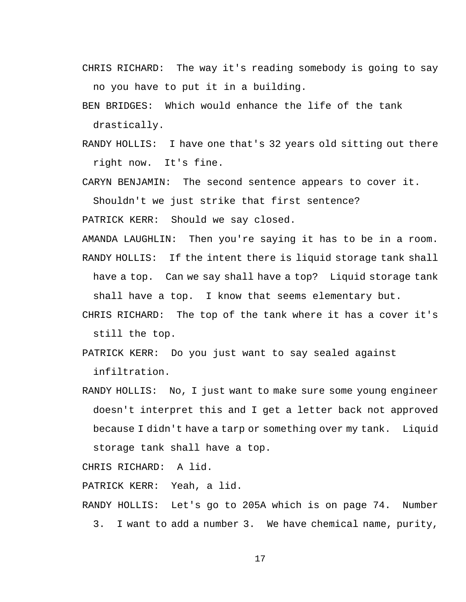CHRIS RICHARD: The way it's reading somebody is going to say no you have to put it in a building.

BEN BRIDGES: Which would enhance the life of the tank drastically.

RANDY HOLLIS: I have one that's 32 years old sitting out there right now. It's fine.

CARYN BENJAMIN: The second sentence appears to cover it.

Shouldn't we just strike that first sentence?

PATRICK KERR: Should we say closed.

AMANDA LAUGHLIN: Then you're saying it has to be in a room.

RANDY HOLLIS: If the intent there is liquid storage tank shall have a top. Can we say shall have a top? Liquid storage tank shall have a top. I know that seems elementary but.

- CHRIS RICHARD: The top of the tank where it has a cover it's still the top.
- PATRICK KERR: Do you just want to say sealed against infiltration.
- RANDY HOLLIS: No, I just want to make sure some young engineer doesn't interpret this and I get a letter back not approved because I didn't have a tarp or something over my tank. Liquid storage tank shall have a top.

CHRIS RICHARD: A lid.

PATRICK KERR: Yeah, a lid.

- RANDY HOLLIS: Let's go to 205A which is on page 74. Number
	- 3. I want to add a number 3. We have chemical name, purity,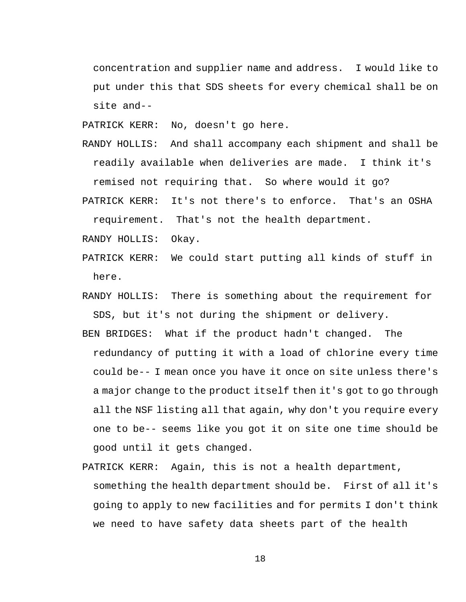concentration and supplier name and address. I would like to put under this that SDS sheets for every chemical shall be on site and--

PATRICK KERR: No, doesn't go here.

- RANDY HOLLIS: And shall accompany each shipment and shall be readily available when deliveries are made. I think it's remised not requiring that. So where would it go?
- PATRICK KERR: It's not there's to enforce. That's an OSHA requirement. That's not the health department.

RANDY HOLLIS: Okay.

- PATRICK KERR: We could start putting all kinds of stuff in here.
- RANDY HOLLIS: There is something about the requirement for SDS, but it's not during the shipment or delivery.
- BEN BRIDGES: What if the product hadn't changed. The redundancy of putting it with a load of chlorine every time could be-- I mean once you have it once on site unless there's a major change to the product itself then it's got to go through all the NSF listing all that again, why don't you require every one to be-- seems like you got it on site one time should be good until it gets changed.
- PATRICK KERR: Again, this is not a health department, something the health department should be. First of all it's going to apply to new facilities and for permits I don't think we need to have safety data sheets part of the health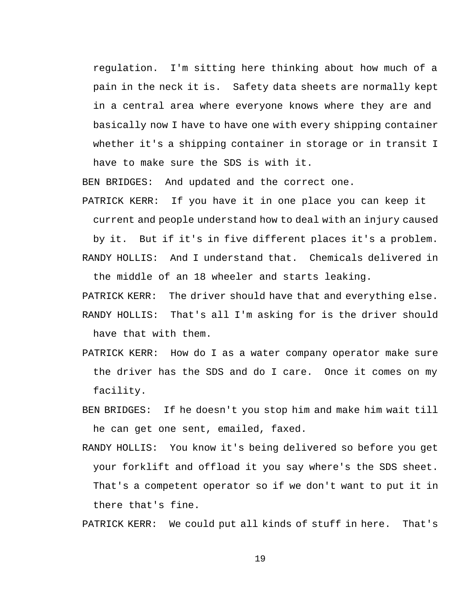regulation. I'm sitting here thinking about how much of a pain in the neck it is. Safety data sheets are normally kept in a central area where everyone knows where they are and basically now I have to have one with every shipping container whether it's a shipping container in storage or in transit I have to make sure the SDS is with it.

BEN BRIDGES: And updated and the correct one.

PATRICK KERR: If you have it in one place you can keep it current and people understand how to deal with an injury caused

by it. But if it's in five different places it's a problem.

RANDY HOLLIS: And I understand that. Chemicals delivered in the middle of an 18 wheeler and starts leaking.

PATRICK KERR: The driver should have that and everything else. RANDY HOLLIS: That's all I'm asking for is the driver should have that with them.

- PATRICK KERR: How do I as a water company operator make sure the driver has the SDS and do I care. Once it comes on my facility.
- BEN BRIDGES: If he doesn't you stop him and make him wait till he can get one sent, emailed, faxed.
- RANDY HOLLIS: You know it's being delivered so before you get your forklift and offload it you say where's the SDS sheet. That's a competent operator so if we don't want to put it in there that's fine.

PATRICK KERR: We could put all kinds of stuff in here. That's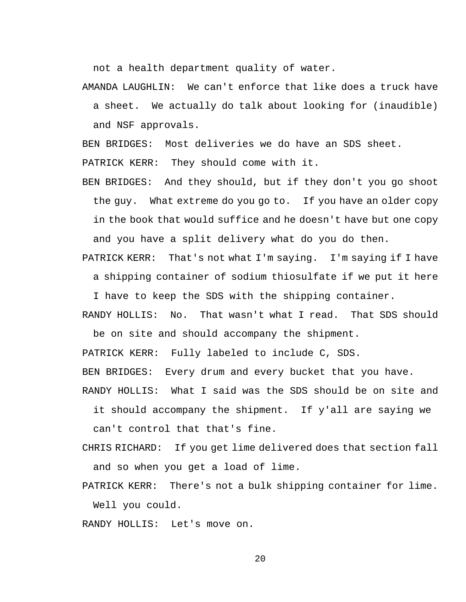not a health department quality of water.

AMANDA LAUGHLIN: We can't enforce that like does a truck have a sheet. We actually do talk about looking for (inaudible) and NSF approvals.

BEN BRIDGES: Most deliveries we do have an SDS sheet.

PATRICK KERR: They should come with it.

BEN BRIDGES: And they should, but if they don't you go shoot the guy. What extreme do you go to. If you have an older copy in the book that would suffice and he doesn't have but one copy and you have a split delivery what do you do then.

PATRICK KERR: That's not what I'm saying. I'm saying if I have a shipping container of sodium thiosulfate if we put it here

I have to keep the SDS with the shipping container.

RANDY HOLLIS: No. That wasn't what I read. That SDS should be on site and should accompany the shipment.

PATRICK KERR: Fully labeled to include C, SDS.

BEN BRIDGES: Every drum and every bucket that you have.

RANDY HOLLIS: What I said was the SDS should be on site and

it should accompany the shipment. If y'all are saying we can't control that that's fine.

- CHRIS RICHARD: If you get lime delivered does that section fall and so when you get a load of lime.
- PATRICK KERR: There's not a bulk shipping container for lime. Well you could.

RANDY HOLLIS: Let's move on.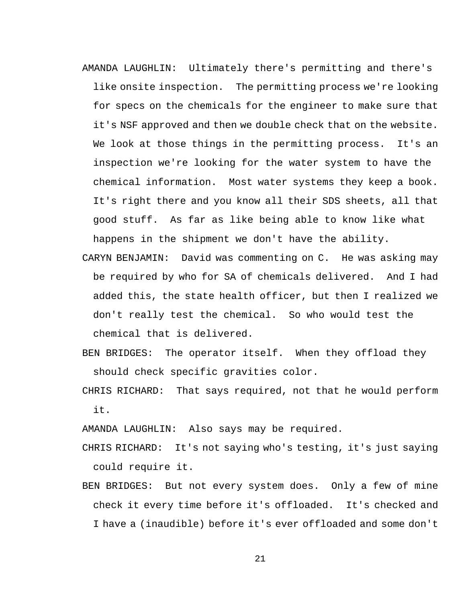- AMANDA LAUGHLIN: Ultimately there's permitting and there's like onsite inspection. The permitting process we're looking for specs on the chemicals for the engineer to make sure that it's NSF approved and then we double check that on the website. We look at those things in the permitting process. It's an inspection we're looking for the water system to have the chemical information. Most water systems they keep a book. It's right there and you know all their SDS sheets, all that good stuff. As far as like being able to know like what happens in the shipment we don't have the ability.
- CARYN BENJAMIN: David was commenting on C. He was asking may be required by who for SA of chemicals delivered. And I had added this, the state health officer, but then I realized we don't really test the chemical. So who would test the chemical that is delivered.
- BEN BRIDGES: The operator itself. When they offload they should check specific gravities color.
- CHRIS RICHARD: That says required, not that he would perform it.

AMANDA LAUGHLIN: Also says may be required.

- CHRIS RICHARD: It's not saying who's testing, it's just saying could require it.
- BEN BRIDGES: But not every system does. Only a few of mine check it every time before it's offloaded. It's checked and I have a (inaudible) before it's ever offloaded and some don't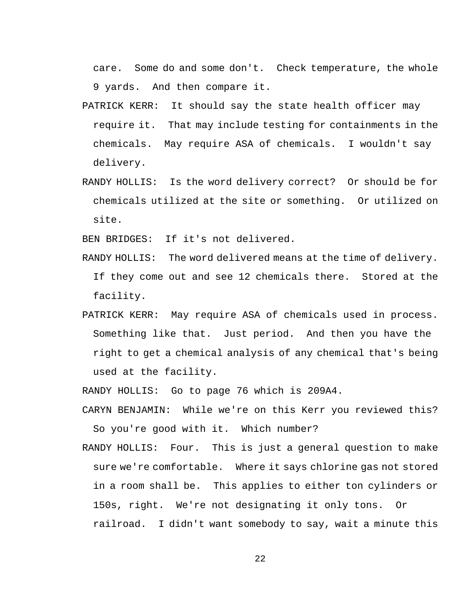care. Some do and some don't. Check temperature, the whole 9 yards. And then compare it.

- PATRICK KERR: It should say the state health officer may require it. That may include testing for containments in the chemicals. May require ASA of chemicals. I wouldn't say delivery.
- RANDY HOLLIS: Is the word delivery correct? Or should be for chemicals utilized at the site or something. Or utilized on site.

BEN BRIDGES: If it's not delivered.

- RANDY HOLLIS: The word delivered means at the time of delivery. If they come out and see 12 chemicals there. Stored at the facility.
- PATRICK KERR: May require ASA of chemicals used in process. Something like that. Just period. And then you have the right to get a chemical analysis of any chemical that's being used at the facility.

RANDY HOLLIS: Go to page 76 which is 209A4.

- CARYN BENJAMIN: While we're on this Kerr you reviewed this? So you're good with it. Which number?
- RANDY HOLLIS: Four. This is just a general question to make sure we're comfortable. Where it says chlorine gas not stored in a room shall be. This applies to either ton cylinders or 150s, right. We're not designating it only tons. Or railroad. I didn't want somebody to say, wait a minute this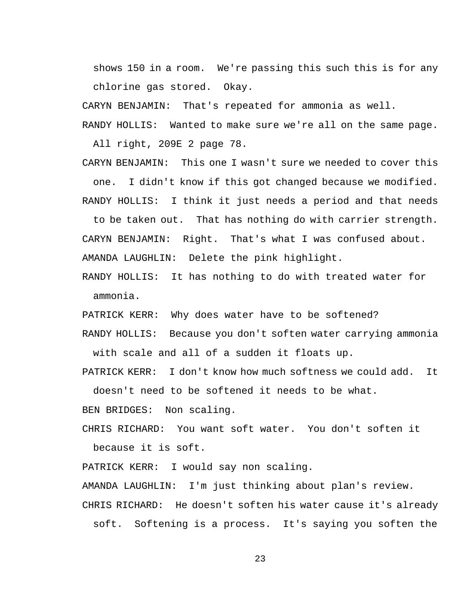shows 150 in a room. We're passing this such this is for any chlorine gas stored. Okay.

CARYN BENJAMIN: That's repeated for ammonia as well.

RANDY HOLLIS: Wanted to make sure we're all on the same page.

All right, 209E 2 page 78.

CARYN BENJAMIN: This one I wasn't sure we needed to cover this one. I didn't know if this got changed because we modified.

RANDY HOLLIS: I think it just needs a period and that needs

to be taken out. That has nothing do with carrier strength. CARYN BENJAMIN: Right. That's what I was confused about. AMANDA LAUGHLIN: Delete the pink highlight.

RANDY HOLLIS: It has nothing to do with treated water for ammonia.

PATRICK KERR: Why does water have to be softened?

RANDY HOLLIS: Because you don't soften water carrying ammonia with scale and all of a sudden it floats up.

PATRICK KERR: I don't know how much softness we could add. It doesn't need to be softened it needs to be what.

BEN BRIDGES: Non scaling.

CHRIS RICHARD: You want soft water. You don't soften it because it is soft.

PATRICK KERR: I would say non scaling.

AMANDA LAUGHLIN: I'm just thinking about plan's review.

CHRIS RICHARD: He doesn't soften his water cause it's already

soft. Softening is a process. It's saying you soften the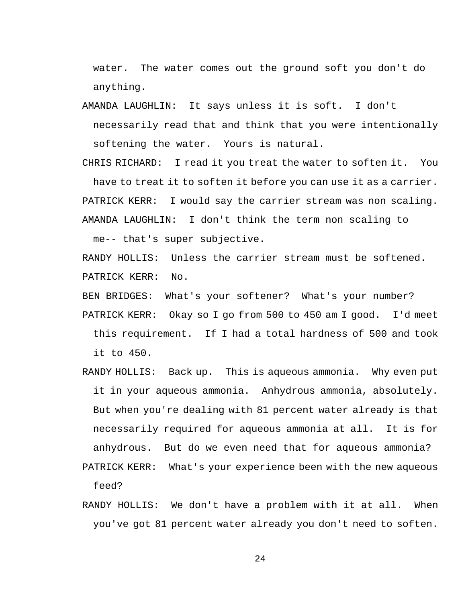water. The water comes out the ground soft you don't do anything.

AMANDA LAUGHLIN: It says unless it is soft. I don't necessarily read that and think that you were intentionally softening the water. Yours is natural.

CHRIS RICHARD: I read it you treat the water to soften it. You have to treat it to soften it before you can use it as a carrier. PATRICK KERR: I would say the carrier stream was non scaling. AMANDA LAUGHLIN: I don't think the term non scaling to

me-- that's super subjective.

RANDY HOLLIS: Unless the carrier stream must be softened. PATRICK KERR: No.

BEN BRIDGES: What's your softener? What's your number?

PATRICK KERR: Okay so I go from 500 to 450 am I good. I'd meet this requirement. If I had a total hardness of 500 and took it to 450.

RANDY HOLLIS: Back up. This is aqueous ammonia. Why even put it in your aqueous ammonia. Anhydrous ammonia, absolutely. But when you're dealing with 81 percent water already is that necessarily required for aqueous ammonia at all. It is for anhydrous. But do we even need that for aqueous ammonia?

PATRICK KERR: What's your experience been with the new aqueous feed?

RANDY HOLLIS: We don't have a problem with it at all. When you've got 81 percent water already you don't need to soften.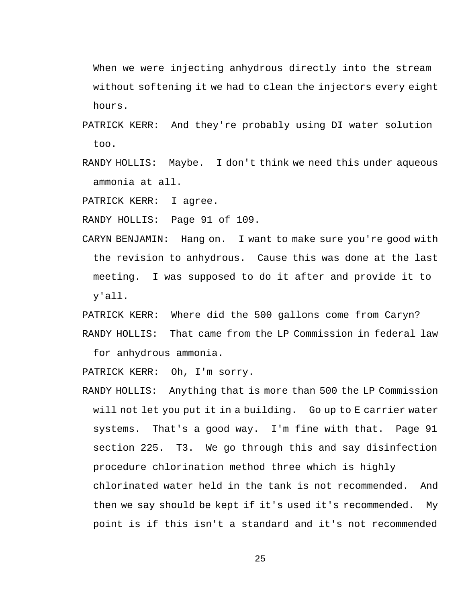When we were injecting anhydrous directly into the stream without softening it we had to clean the injectors every eight hours.

- PATRICK KERR: And they're probably using DI water solution too.
- RANDY HOLLIS: Maybe. I don't think we need this under aqueous ammonia at all.

PATRICK KERR: I agree.

RANDY HOLLIS: Page 91 of 109.

CARYN BENJAMIN: Hang on. I want to make sure you're good with the revision to anhydrous. Cause this was done at the last meeting. I was supposed to do it after and provide it to y'all.

PATRICK KERR: Where did the 500 gallons come from Caryn? RANDY HOLLIS: That came from the LP Commission in federal law

for anhydrous ammonia.

PATRICK KERR: Oh, I'm sorry.

RANDY HOLLIS: Anything that is more than 500 the LP Commission will not let you put it in a building. Go up to E carrier water systems. That's a good way. I'm fine with that. Page 91 section 225. T3. We go through this and say disinfection procedure chlorination method three which is highly chlorinated water held in the tank is not recommended. And then we say should be kept if it's used it's recommended. My point is if this isn't a standard and it's not recommended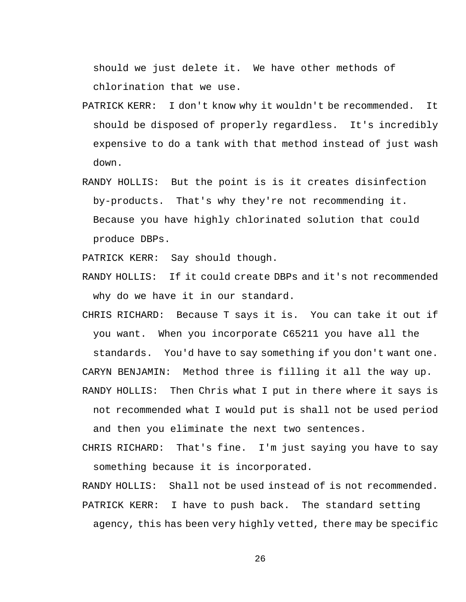should we just delete it. We have other methods of chlorination that we use.

- PATRICK KERR: I don't know why it wouldn't be recommended. It should be disposed of properly regardless. It's incredibly expensive to do a tank with that method instead of just wash down.
- RANDY HOLLIS: But the point is is it creates disinfection by-products. That's why they're not recommending it. Because you have highly chlorinated solution that could produce DBPs.

PATRICK KERR: Say should though.

- RANDY HOLLIS: If it could create DBPs and it's not recommended why do we have it in our standard.
- CHRIS RICHARD: Because T says it is. You can take it out if you want. When you incorporate C65211 you have all the

standards. You'd have to say something if you don't want one.

CARYN BENJAMIN: Method three is filling it all the way up.

- RANDY HOLLIS: Then Chris what I put in there where it says is not recommended what I would put is shall not be used period and then you eliminate the next two sentences.
- CHRIS RICHARD: That's fine. I'm just saying you have to say something because it is incorporated.

RANDY HOLLIS: Shall not be used instead of is not recommended. PATRICK KERR: I have to push back. The standard setting agency, this has been very highly vetted, there may be specific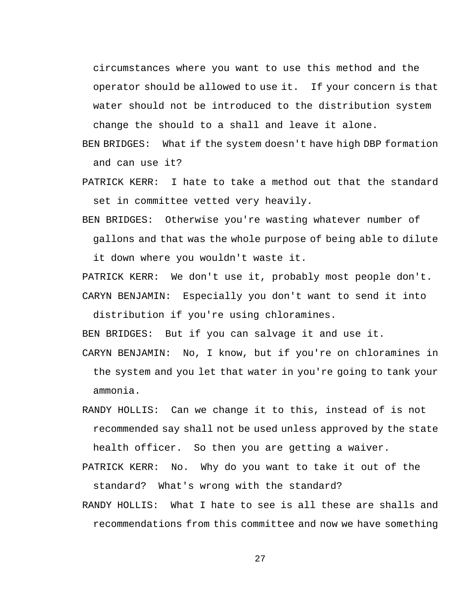circumstances where you want to use this method and the operator should be allowed to use it. If your concern is that water should not be introduced to the distribution system change the should to a shall and leave it alone.

- BEN BRIDGES: What if the system doesn't have high DBP formation and can use it?
- PATRICK KERR: I hate to take a method out that the standard set in committee vetted very heavily.
- BEN BRIDGES: Otherwise you're wasting whatever number of gallons and that was the whole purpose of being able to dilute

it down where you wouldn't waste it.

PATRICK KERR: We don't use it, probably most people don't. CARYN BENJAMIN: Especially you don't want to send it into

distribution if you're using chloramines.

BEN BRIDGES: But if you can salvage it and use it.

- CARYN BENJAMIN: No, I know, but if you're on chloramines in the system and you let that water in you're going to tank your ammonia.
- RANDY HOLLIS: Can we change it to this, instead of is not recommended say shall not be used unless approved by the state health officer. So then you are getting a waiver.
- PATRICK KERR: No. Why do you want to take it out of the standard? What's wrong with the standard?
- RANDY HOLLIS: What I hate to see is all these are shalls and recommendations from this committee and now we have something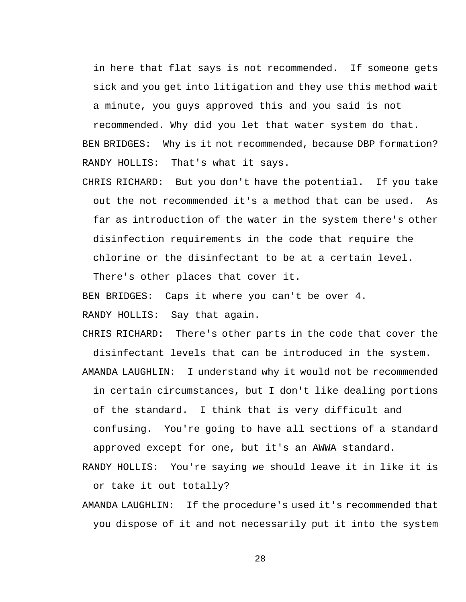in here that flat says is not recommended. If someone gets sick and you get into litigation and they use this method wait a minute, you guys approved this and you said is not

recommended. Why did you let that water system do that. BEN BRIDGES: Why is it not recommended, because DBP formation? RANDY HOLLIS: That's what it says.

CHRIS RICHARD: But you don't have the potential. If you take out the not recommended it's a method that can be used. As far as introduction of the water in the system there's other disinfection requirements in the code that require the chlorine or the disinfectant to be at a certain level.

There's other places that cover it.

BEN BRIDGES: Caps it where you can't be over 4.

RANDY HOLLIS: Say that again.

CHRIS RICHARD: There's other parts in the code that cover the disinfectant levels that can be introduced in the system. AMANDA LAUGHLIN: I understand why it would not be recommended in certain circumstances, but I don't like dealing portions of the standard. I think that is very difficult and confusing. You're going to have all sections of a standard approved except for one, but it's an AWWA standard.

- RANDY HOLLIS: You're saying we should leave it in like it is or take it out totally?
- AMANDA LAUGHLIN: If the procedure's used it's recommended that you dispose of it and not necessarily put it into the system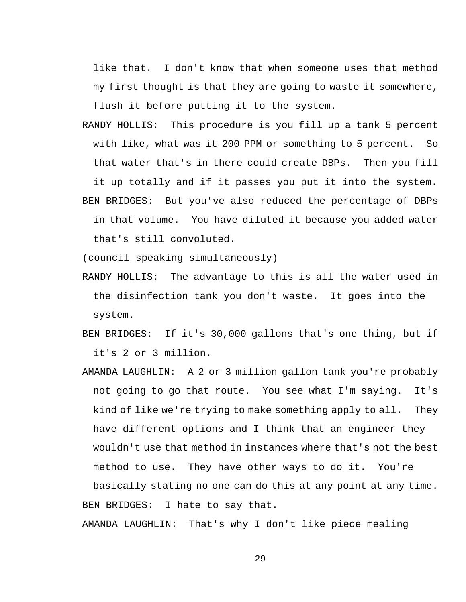like that. I don't know that when someone uses that method my first thought is that they are going to waste it somewhere, flush it before putting it to the system.

RANDY HOLLIS: This procedure is you fill up a tank 5 percent with like, what was it 200 PPM or something to 5 percent. So that water that's in there could create DBPs. Then you fill it up totally and if it passes you put it into the system. BEN BRIDGES: But you've also reduced the percentage of DBPs in that volume. You have diluted it because you added water that's still convoluted.

(council speaking simultaneously)

- RANDY HOLLIS: The advantage to this is all the water used in the disinfection tank you don't waste. It goes into the system.
- BEN BRIDGES: If it's 30,000 gallons that's one thing, but if it's 2 or 3 million.
- AMANDA LAUGHLIN: A 2 or 3 million gallon tank you're probably not going to go that route. You see what I'm saying. It's kind of like we're trying to make something apply to all. They have different options and I think that an engineer they wouldn't use that method in instances where that's not the best method to use. They have other ways to do it. You're

basically stating no one can do this at any point at any time. BEN BRIDGES: I hate to say that.

AMANDA LAUGHLIN: That's why I don't like piece mealing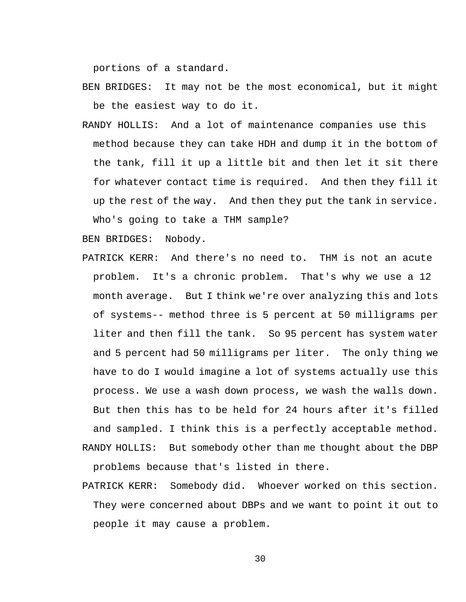portions of a standard.

- BEN BRIDGES: It may not be the most economical, but it might be the easiest way to do it.
- RANDY HOLLIS: And a lot of maintenance companies use this method because they can take HDH and dump it in the bottom of the tank, fill it up a little bit and then let it sit there for whatever contact time is required. And then they fill it up the rest of the way. And then they put the tank in service. Who's going to take a THM sample?

BEN BRIDGES: Nobody.

- PATRICK KERR: And there's no need to. THM is not an acute problem. It's a chronic problem. That's why we use a 12 month average. But I think we're over analyzing this and lots of systems-- method three is 5 percent at 50 milligrams per liter and then fill the tank. So 95 percent has system water and 5 percent had 50 milligrams per liter. The only thing we have to do I would imagine a lot of systems actually use this process. We use a wash down process, we wash the walls down. But then this has to be held for 24 hours after it's filled and sampled. I think this is a perfectly acceptable method. RANDY HOLLIS: But somebody other than me thought about the DBP problems because that's listed in there.
- PATRICK KERR: Somebody did. Whoever worked on this section. They were concerned about DBPs and we want to point it out to people it may cause a problem.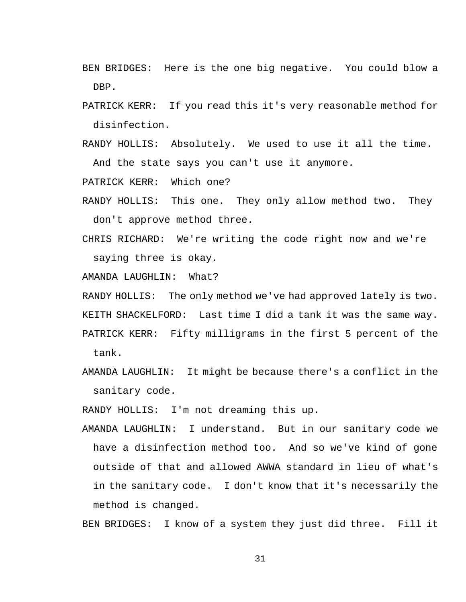- BEN BRIDGES: Here is the one big negative. You could blow a DBP.
- PATRICK KERR: If you read this it's very reasonable method for disinfection.
- RANDY HOLLIS: Absolutely. We used to use it all the time. And the state says you can't use it anymore.

PATRICK KERR: Which one?

- RANDY HOLLIS: This one. They only allow method two. They don't approve method three.
- CHRIS RICHARD: We're writing the code right now and we're saying three is okay.

AMANDA LAUGHLIN: What?

RANDY HOLLIS: The only method we've had approved lately is two. KEITH SHACKELFORD: Last time I did a tank it was the same way. PATRICK KERR: Fifty milligrams in the first 5 percent of the tank.

AMANDA LAUGHLIN: It might be because there's a conflict in the sanitary code.

RANDY HOLLIS: I'm not dreaming this up.

AMANDA LAUGHLIN: I understand. But in our sanitary code we have a disinfection method too. And so we've kind of gone outside of that and allowed AWWA standard in lieu of what's in the sanitary code. I don't know that it's necessarily the method is changed.

BEN BRIDGES: I know of a system they just did three. Fill it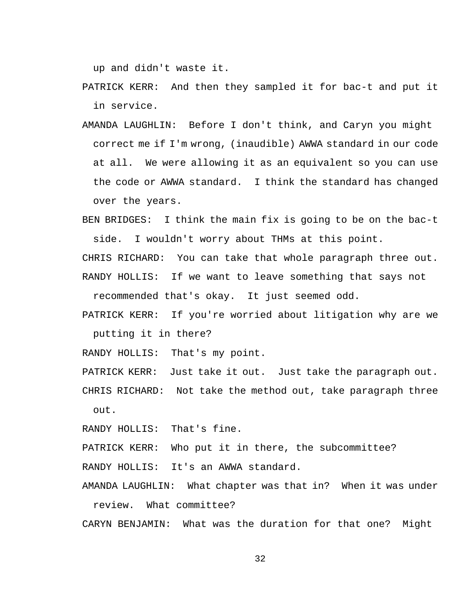up and didn't waste it.

- PATRICK KERR: And then they sampled it for bac-t and put it in service.
- AMANDA LAUGHLIN: Before I don't think, and Caryn you might correct me if I'm wrong, (inaudible) AWWA standard in our code at all. We were allowing it as an equivalent so you can use the code or AWWA standard. I think the standard has changed over the years.
- BEN BRIDGES: I think the main fix is going to be on the bac-t side. I wouldn't worry about THMs at this point.

CHRIS RICHARD: You can take that whole paragraph three out. RANDY HOLLIS: If we want to leave something that says not

recommended that's okay. It just seemed odd.

PATRICK KERR: If you're worried about litigation why are we putting it in there?

RANDY HOLLIS: That's my point.

PATRICK KERR: Just take it out. Just take the paragraph out.

CHRIS RICHARD: Not take the method out, take paragraph three out.

RANDY HOLLIS: That's fine.

PATRICK KERR: Who put it in there, the subcommittee?

RANDY HOLLIS: It's an AWWA standard.

AMANDA LAUGHLIN: What chapter was that in? When it was under review. What committee?

CARYN BENJAMIN: What was the duration for that one? Might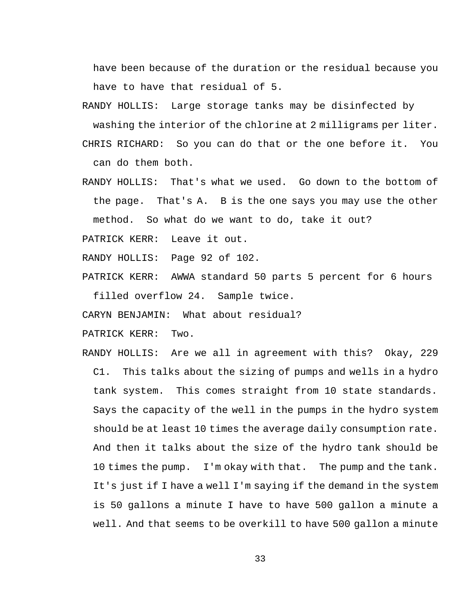have been because of the duration or the residual because you have to have that residual of 5.

RANDY HOLLIS: Large storage tanks may be disinfected by washing the interior of the chlorine at 2 milligrams per liter.

CHRIS RICHARD: So you can do that or the one before it. You can do them both.

RANDY HOLLIS: That's what we used. Go down to the bottom of the page. That's A. B is the one says you may use the other method. So what do we want to do, take it out?

PATRICK KERR: Leave it out.

RANDY HOLLIS: Page 92 of 102.

PATRICK KERR: AWWA standard 50 parts 5 percent for 6 hours filled overflow 24. Sample twice.

CARYN BENJAMIN: What about residual?

PATRICK KERR: Two.

RANDY HOLLIS: Are we all in agreement with this? Okay, 229 C1. This talks about the sizing of pumps and wells in a hydro tank system. This comes straight from 10 state standards. Says the capacity of the well in the pumps in the hydro system should be at least 10 times the average daily consumption rate. And then it talks about the size of the hydro tank should be 10 times the pump. I'm okay with that. The pump and the tank. It's just if I have a well I'm saying if the demand in the system is 50 gallons a minute I have to have 500 gallon a minute a well. And that seems to be overkill to have 500 gallon a minute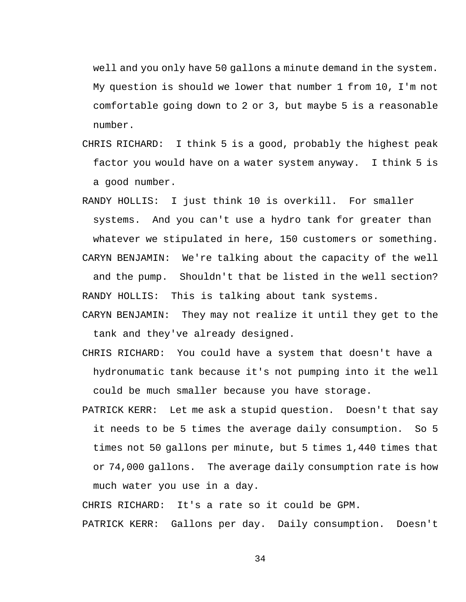well and you only have 50 gallons a minute demand in the system. My question is should we lower that number 1 from 10, I'm not comfortable going down to 2 or 3, but maybe 5 is a reasonable number.

- CHRIS RICHARD: I think 5 is a good, probably the highest peak factor you would have on a water system anyway. I think 5 is a good number.
- RANDY HOLLIS: I just think 10 is overkill. For smaller systems. And you can't use a hydro tank for greater than whatever we stipulated in here, 150 customers or something.

CARYN BENJAMIN: We're talking about the capacity of the well and the pump. Shouldn't that be listed in the well section? RANDY HOLLIS: This is talking about tank systems.

- CARYN BENJAMIN: They may not realize it until they get to the tank and they've already designed.
- CHRIS RICHARD: You could have a system that doesn't have a hydronumatic tank because it's not pumping into it the well could be much smaller because you have storage.
- PATRICK KERR: Let me ask a stupid question. Doesn't that say it needs to be 5 times the average daily consumption. So 5 times not 50 gallons per minute, but 5 times 1,440 times that or 74,000 gallons. The average daily consumption rate is how much water you use in a day.

CHRIS RICHARD: It's a rate so it could be GPM.

PATRICK KERR: Gallons per day. Daily consumption. Doesn't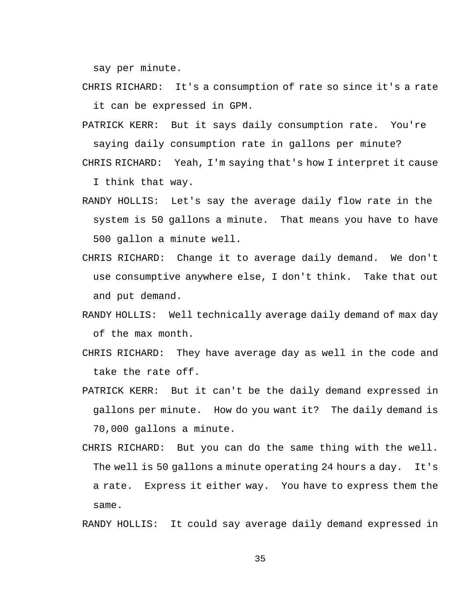say per minute.

- CHRIS RICHARD: It's a consumption of rate so since it's a rate it can be expressed in GPM.
- PATRICK KERR: But it says daily consumption rate. You're saying daily consumption rate in gallons per minute?

CHRIS RICHARD: Yeah, I'm saying that's how I interpret it cause I think that way.

- RANDY HOLLIS: Let's say the average daily flow rate in the system is 50 gallons a minute. That means you have to have 500 gallon a minute well.
- CHRIS RICHARD: Change it to average daily demand. We don't use consumptive anywhere else, I don't think. Take that out and put demand.
- RANDY HOLLIS: Well technically average daily demand of max day of the max month.
- CHRIS RICHARD: They have average day as well in the code and take the rate off.
- PATRICK KERR: But it can't be the daily demand expressed in gallons per minute. How do you want it? The daily demand is 70,000 gallons a minute.
- CHRIS RICHARD: But you can do the same thing with the well. The well is 50 gallons a minute operating 24 hours a day. It's a rate. Express it either way. You have to express them the same.

RANDY HOLLIS: It could say average daily demand expressed in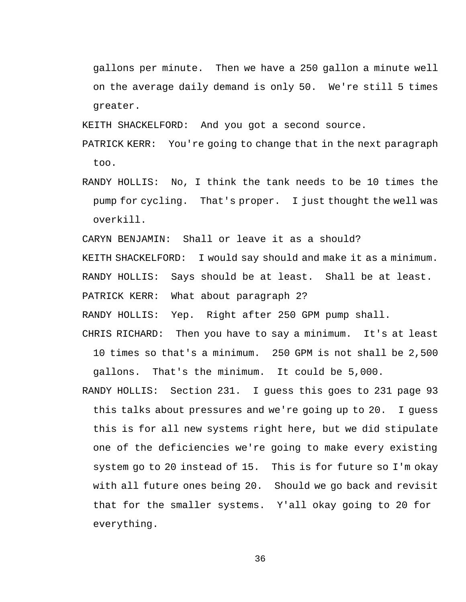gallons per minute. Then we have a 250 gallon a minute well on the average daily demand is only 50. We're still 5 times greater.

KEITH SHACKELFORD: And you got a second source.

PATRICK KERR: You're going to change that in the next paragraph too.

RANDY HOLLIS: No, I think the tank needs to be 10 times the pump for cycling. That's proper. I just thought the well was overkill.

CARYN BENJAMIN: Shall or leave it as a should?

KEITH SHACKELFORD: I would say should and make it as a minimum.

RANDY HOLLIS: Says should be at least. Shall be at least.

PATRICK KERR: What about paragraph 2?

RANDY HOLLIS: Yep. Right after 250 GPM pump shall.

CHRIS RICHARD: Then you have to say a minimum. It's at least 10 times so that's a minimum. 250 GPM is not shall be 2,500 gallons. That's the minimum. It could be 5,000.

RANDY HOLLIS: Section 231. I guess this goes to 231 page 93 this talks about pressures and we're going up to 20. I guess this is for all new systems right here, but we did stipulate one of the deficiencies we're going to make every existing system go to 20 instead of 15. This is for future so I'm okay with all future ones being 20. Should we go back and revisit that for the smaller systems. Y'all okay going to 20 for everything.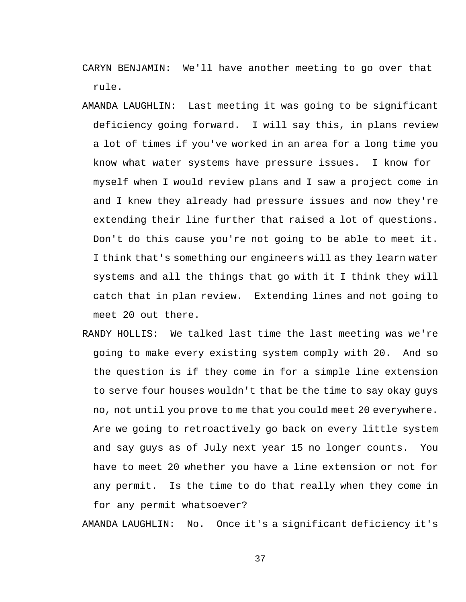CARYN BENJAMIN: We'll have another meeting to go over that rule.

- AMANDA LAUGHLIN: Last meeting it was going to be significant deficiency going forward. I will say this, in plans review a lot of times if you've worked in an area for a long time you know what water systems have pressure issues. I know for myself when I would review plans and I saw a project come in and I knew they already had pressure issues and now they're extending their line further that raised a lot of questions. Don't do this cause you're not going to be able to meet it. I think that's something our engineers will as they learn water systems and all the things that go with it I think they will catch that in plan review. Extending lines and not going to meet 20 out there.
- RANDY HOLLIS: We talked last time the last meeting was we're going to make every existing system comply with 20. And so the question is if they come in for a simple line extension to serve four houses wouldn't that be the time to say okay guys no, not until you prove to me that you could meet 20 everywhere. Are we going to retroactively go back on every little system and say guys as of July next year 15 no longer counts. You have to meet 20 whether you have a line extension or not for any permit. Is the time to do that really when they come in for any permit whatsoever?

AMANDA LAUGHLIN: No. Once it's a significant deficiency it's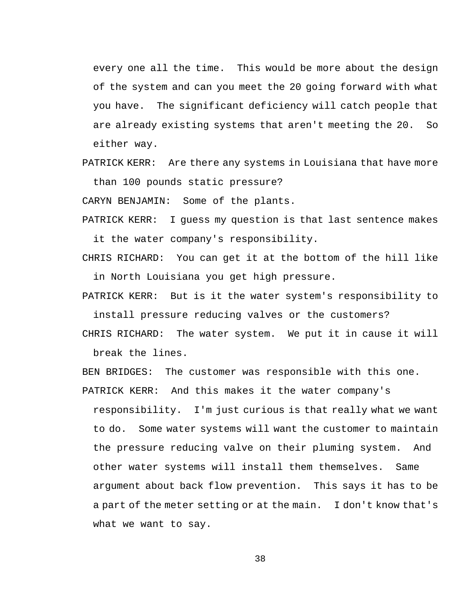every one all the time. This would be more about the design of the system and can you meet the 20 going forward with what you have. The significant deficiency will catch people that are already existing systems that aren't meeting the 20. So either way.

PATRICK KERR: Are there any systems in Louisiana that have more than 100 pounds static pressure?

CARYN BENJAMIN: Some of the plants.

- PATRICK KERR: I guess my question is that last sentence makes it the water company's responsibility.
- CHRIS RICHARD: You can get it at the bottom of the hill like in North Louisiana you get high pressure.
- PATRICK KERR: But is it the water system's responsibility to install pressure reducing valves or the customers?
- CHRIS RICHARD: The water system. We put it in cause it will break the lines.
- BEN BRIDGES: The customer was responsible with this one.
- PATRICK KERR: And this makes it the water company's responsibility. I'm just curious is that really what we want

to do. Some water systems will want the customer to maintain the pressure reducing valve on their pluming system. And other water systems will install them themselves. Same argument about back flow prevention. This says it has to be a part of the meter setting or at the main. I don't know that's what we want to say.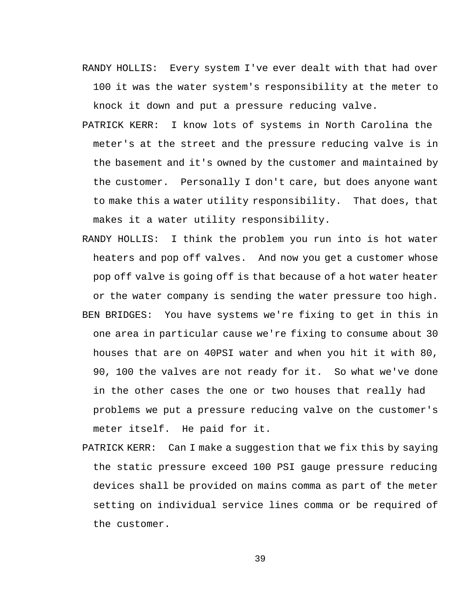- RANDY HOLLIS: Every system I've ever dealt with that had over 100 it was the water system's responsibility at the meter to knock it down and put a pressure reducing valve.
- PATRICK KERR: I know lots of systems in North Carolina the meter's at the street and the pressure reducing valve is in the basement and it's owned by the customer and maintained by the customer. Personally I don't care, but does anyone want to make this a water utility responsibility. That does, that makes it a water utility responsibility.
- RANDY HOLLIS: I think the problem you run into is hot water heaters and pop off valves. And now you get a customer whose pop off valve is going off is that because of a hot water heater or the water company is sending the water pressure too high. BEN BRIDGES: You have systems we're fixing to get in this in one area in particular cause we're fixing to consume about 30 houses that are on 40PSI water and when you hit it with 80, 90, 100 the valves are not ready for it. So what we've done in the other cases the one or two houses that really had problems we put a pressure reducing valve on the customer's meter itself. He paid for it.
- PATRICK KERR: Can I make a suggestion that we fix this by saying the static pressure exceed 100 PSI gauge pressure reducing devices shall be provided on mains comma as part of the meter setting on individual service lines comma or be required of the customer.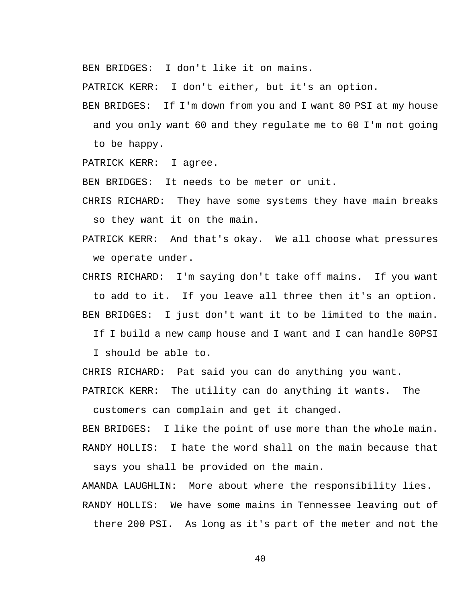BEN BRIDGES: I don't like it on mains.

PATRICK KERR: I don't either, but it's an option.

BEN BRIDGES: If I'm down from you and I want 80 PSI at my house and you only want 60 and they regulate me to 60 I'm not going to be happy.

PATRICK KERR: I agree.

BEN BRIDGES: It needs to be meter or unit.

CHRIS RICHARD: They have some systems they have main breaks so they want it on the main.

PATRICK KERR: And that's okay. We all choose what pressures we operate under.

CHRIS RICHARD: I'm saying don't take off mains. If you want to add to it. If you leave all three then it's an option. BEN BRIDGES: I just don't want it to be limited to the main.

If I build a new camp house and I want and I can handle 80PSI

I should be able to.

CHRIS RICHARD: Pat said you can do anything you want.

PATRICK KERR: The utility can do anything it wants. The

customers can complain and get it changed.

BEN BRIDGES: I like the point of use more than the whole main. RANDY HOLLIS: I hate the word shall on the main because that

says you shall be provided on the main.

AMANDA LAUGHLIN: More about where the responsibility lies. RANDY HOLLIS: We have some mains in Tennessee leaving out of there 200 PSI. As long as it's part of the meter and not the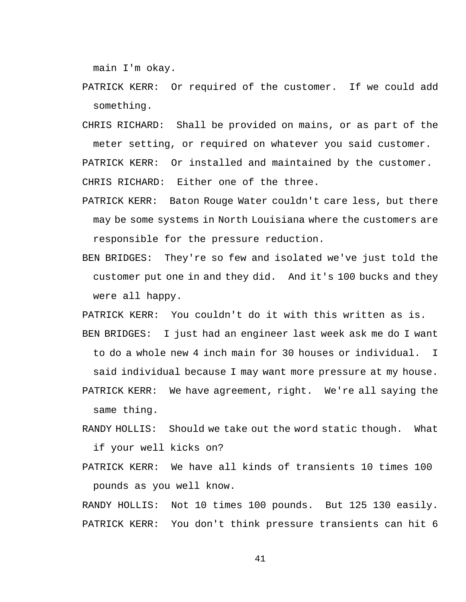main I'm okay.

- PATRICK KERR: Or required of the customer. If we could add something.
- CHRIS RICHARD: Shall be provided on mains, or as part of the meter setting, or required on whatever you said customer. PATRICK KERR: Or installed and maintained by the customer. CHRIS RICHARD: Either one of the three.
- PATRICK KERR: Baton Rouge Water couldn't care less, but there may be some systems in North Louisiana where the customers are responsible for the pressure reduction.
- BEN BRIDGES: They're so few and isolated we've just told the customer put one in and they did. And it's 100 bucks and they were all happy.

PATRICK KERR: You couldn't do it with this written as is.

BEN BRIDGES: I just had an engineer last week ask me do I want to do a whole new 4 inch main for 30 houses or individual. I

said individual because I may want more pressure at my house.

- PATRICK KERR: We have agreement, right. We're all saying the same thing.
- RANDY HOLLIS: Should we take out the word static though. What if your well kicks on?
- PATRICK KERR: We have all kinds of transients 10 times 100 pounds as you well know.

RANDY HOLLIS: Not 10 times 100 pounds. But 125 130 easily. PATRICK KERR: You don't think pressure transients can hit 6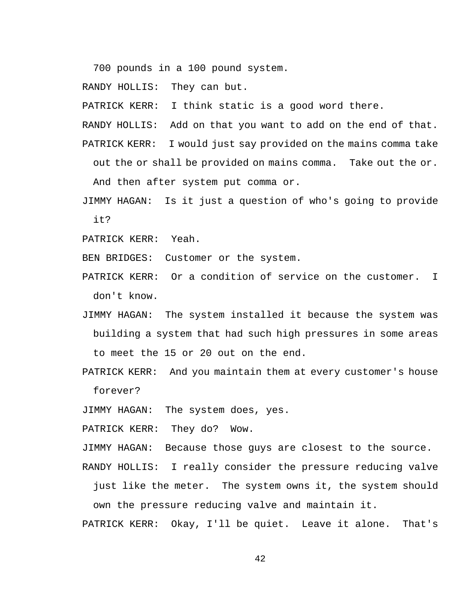700 pounds in a 100 pound system.

RANDY HOLLIS: They can but.

PATRICK KERR: I think static is a good word there.

RANDY HOLLIS: Add on that you want to add on the end of that. PATRICK KERR: I would just say provided on the mains comma take out the or shall be provided on mains comma. Take out the or.

And then after system put comma or.

JIMMY HAGAN: Is it just a question of who's going to provide it?

PATRICK KERR: Yeah.

BEN BRIDGES: Customer or the system.

PATRICK KERR: Or a condition of service on the customer. I don't know.

- JIMMY HAGAN: The system installed it because the system was building a system that had such high pressures in some areas to meet the 15 or 20 out on the end.
- PATRICK KERR: And you maintain them at every customer's house forever?

JIMMY HAGAN: The system does, yes.

PATRICK KERR: They do? Wow.

JIMMY HAGAN: Because those guys are closest to the source.

RANDY HOLLIS: I really consider the pressure reducing valve

just like the meter. The system owns it, the system should own the pressure reducing valve and maintain it.

PATRICK KERR: Okay, I'll be quiet. Leave it alone. That's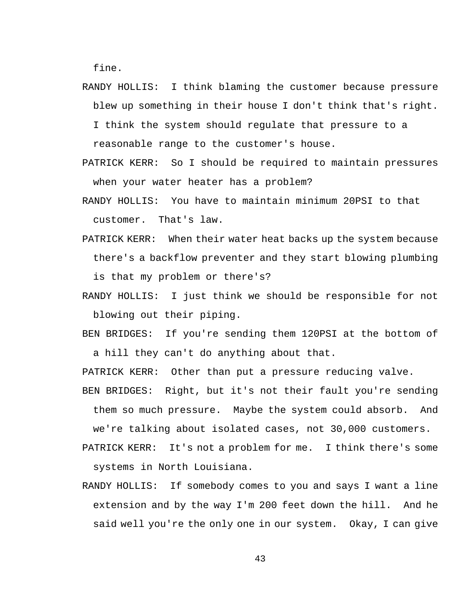fine.

- RANDY HOLLIS: I think blaming the customer because pressure blew up something in their house I don't think that's right.
	- I think the system should regulate that pressure to a reasonable range to the customer's house.
- PATRICK KERR: So I should be required to maintain pressures when your water heater has a problem?
- RANDY HOLLIS: You have to maintain minimum 20PSI to that customer. That's law.
- PATRICK KERR: When their water heat backs up the system because there's a backflow preventer and they start blowing plumbing is that my problem or there's?
- RANDY HOLLIS: I just think we should be responsible for not blowing out their piping.
- BEN BRIDGES: If you're sending them 120PSI at the bottom of a hill they can't do anything about that.

PATRICK KERR: Other than put a pressure reducing valve.

BEN BRIDGES: Right, but it's not their fault you're sending them so much pressure. Maybe the system could absorb. And

we're talking about isolated cases, not 30,000 customers.

- PATRICK KERR: It's not a problem for me. I think there's some systems in North Louisiana.
- RANDY HOLLIS: If somebody comes to you and says I want a line extension and by the way I'm 200 feet down the hill. And he said well you're the only one in our system. Okay, I can give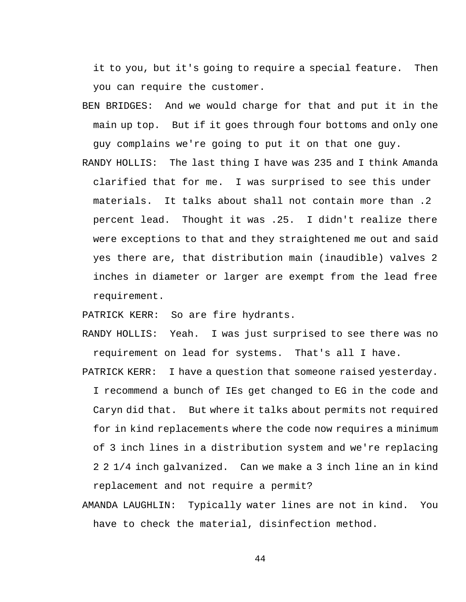it to you, but it's going to require a special feature. Then you can require the customer.

- BEN BRIDGES: And we would charge for that and put it in the main up top. But if it goes through four bottoms and only one guy complains we're going to put it on that one guy.
- RANDY HOLLIS: The last thing I have was 235 and I think Amanda clarified that for me. I was surprised to see this under materials. It talks about shall not contain more than .2 percent lead. Thought it was .25. I didn't realize there were exceptions to that and they straightened me out and said yes there are, that distribution main (inaudible) valves 2 inches in diameter or larger are exempt from the lead free requirement.

PATRICK KERR: So are fire hydrants.

- RANDY HOLLIS: Yeah. I was just surprised to see there was no requirement on lead for systems. That's all I have.
- PATRICK KERR: I have a question that someone raised yesterday. I recommend a bunch of IEs get changed to EG in the code and Caryn did that. But where it talks about permits not required for in kind replacements where the code now requires a minimum of 3 inch lines in a distribution system and we're replacing 2 2 1/4 inch galvanized. Can we make a 3 inch line an in kind replacement and not require a permit?
- AMANDA LAUGHLIN: Typically water lines are not in kind. You have to check the material, disinfection method.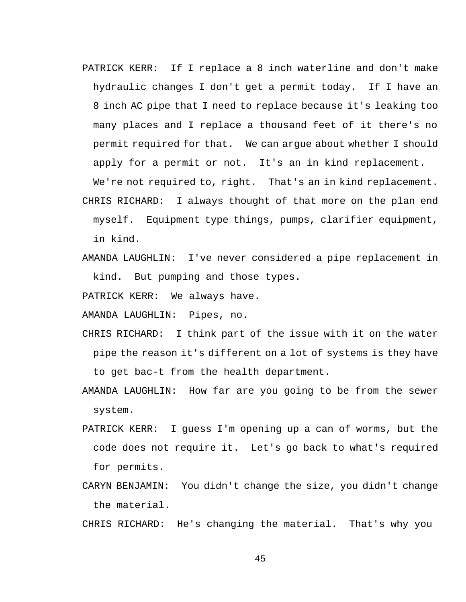PATRICK KERR: If I replace a 8 inch waterline and don't make hydraulic changes I don't get a permit today. If I have an 8 inch AC pipe that I need to replace because it's leaking too many places and I replace a thousand feet of it there's no permit required for that. We can argue about whether I should apply for a permit or not. It's an in kind replacement.

CHRIS RICHARD: I always thought of that more on the plan end myself. Equipment type things, pumps, clarifier equipment, in kind.

We're not required to, right. That's an in kind replacement.

AMANDA LAUGHLIN: I've never considered a pipe replacement in kind. But pumping and those types.

PATRICK KERR: We always have.

AMANDA LAUGHLIN: Pipes, no.

- CHRIS RICHARD: I think part of the issue with it on the water pipe the reason it's different on a lot of systems is they have to get bac-t from the health department.
- AMANDA LAUGHLIN: How far are you going to be from the sewer system.
- PATRICK KERR: I guess I'm opening up a can of worms, but the code does not require it. Let's go back to what's required for permits.
- CARYN BENJAMIN: You didn't change the size, you didn't change the material.

CHRIS RICHARD: He's changing the material. That's why you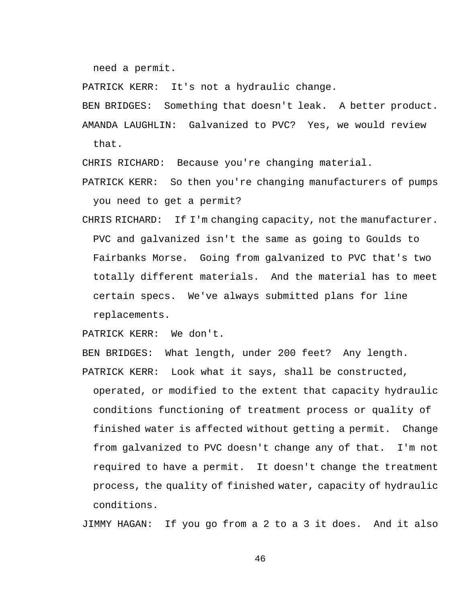need a permit.

PATRICK KERR: It's not a hydraulic change.

BEN BRIDGES: Something that doesn't leak. A better product. AMANDA LAUGHLIN: Galvanized to PVC? Yes, we would review that.

CHRIS RICHARD: Because you're changing material.

- PATRICK KERR: So then you're changing manufacturers of pumps you need to get a permit?
- CHRIS RICHARD: If I'm changing capacity, not the manufacturer. PVC and galvanized isn't the same as going to Goulds to Fairbanks Morse. Going from galvanized to PVC that's two totally different materials. And the material has to meet certain specs. We've always submitted plans for line replacements.

PATRICK KERR: We don't.

BEN BRIDGES: What length, under 200 feet? Any length.

PATRICK KERR: Look what it says, shall be constructed, operated, or modified to the extent that capacity hydraulic conditions functioning of treatment process or quality of finished water is affected without getting a permit. Change from galvanized to PVC doesn't change any of that. I'm not required to have a permit. It doesn't change the treatment process, the quality of finished water, capacity of hydraulic conditions.

JIMMY HAGAN: If you go from a 2 to a 3 it does. And it also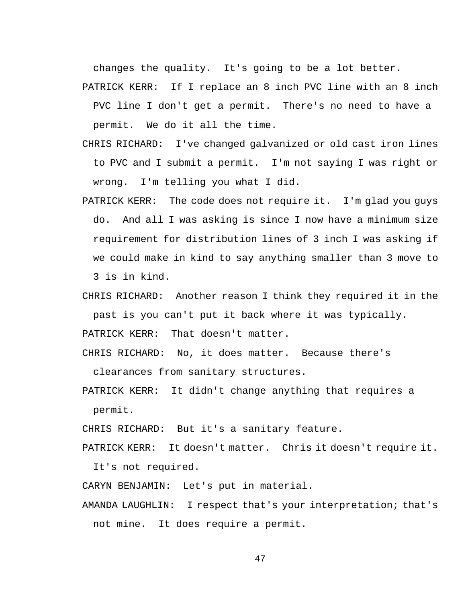changes the quality. It's going to be a lot better.

PATRICK KERR: If I replace an 8 inch PVC line with an 8 inch PVC line I don't get a permit. There's no need to have a permit. We do it all the time.

- CHRIS RICHARD: I've changed galvanized or old cast iron lines to PVC and I submit a permit. I'm not saying I was right or wrong. I'm telling you what I did.
- PATRICK KERR: The code does not require it. I'm glad you guys do. And all I was asking is since I now have a minimum size requirement for distribution lines of 3 inch I was asking if we could make in kind to say anything smaller than 3 move to 3 is in kind.
- CHRIS RICHARD: Another reason I think they required it in the past is you can't put it back where it was typically. PATRICK KERR: That doesn't matter.
- CHRIS RICHARD: No, it does matter. Because there's

clearances from sanitary structures.

PATRICK KERR: It didn't change anything that requires a permit.

CHRIS RICHARD: But it's a sanitary feature.

PATRICK KERR: It doesn't matter. Chris it doesn't require it. It's not required.

CARYN BENJAMIN: Let's put in material.

AMANDA LAUGHLIN: I respect that's your interpretation; that's not mine. It does require a permit.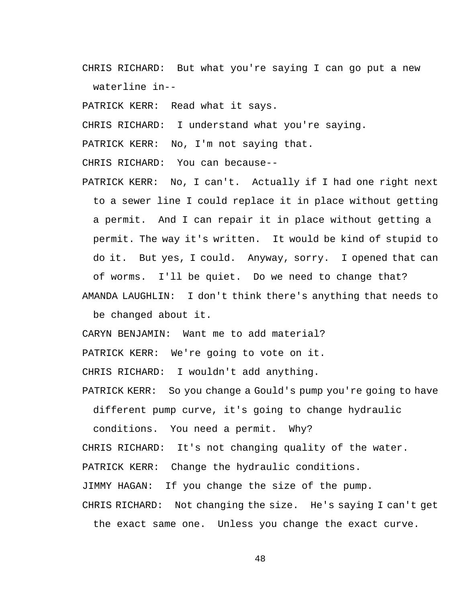CHRIS RICHARD: But what you're saying I can go put a new waterline in--

PATRICK KERR: Read what it says.

CHRIS RICHARD: I understand what you're saying.

PATRICK KERR: No, I'm not saying that.

CHRIS RICHARD: You can because--

PATRICK KERR: No, I can't. Actually if I had one right next to a sewer line I could replace it in place without getting a permit. And I can repair it in place without getting a permit. The way it's written. It would be kind of stupid to do it. But yes, I could. Anyway, sorry. I opened that can of worms. I'll be quiet. Do we need to change that?

AMANDA LAUGHLIN: I don't think there's anything that needs to be changed about it.

CARYN BENJAMIN: Want me to add material?

PATRICK KERR: We're going to vote on it.

CHRIS RICHARD: I wouldn't add anything.

PATRICK KERR: So you change a Gould's pump you're going to have

different pump curve, it's going to change hydraulic

conditions. You need a permit. Why? CHRIS RICHARD: It's not changing quality of the water. PATRICK KERR: Change the hydraulic conditions. JIMMY HAGAN: If you change the size of the pump. CHRIS RICHARD: Not changing the size. He's saying I can't get

the exact same one. Unless you change the exact curve.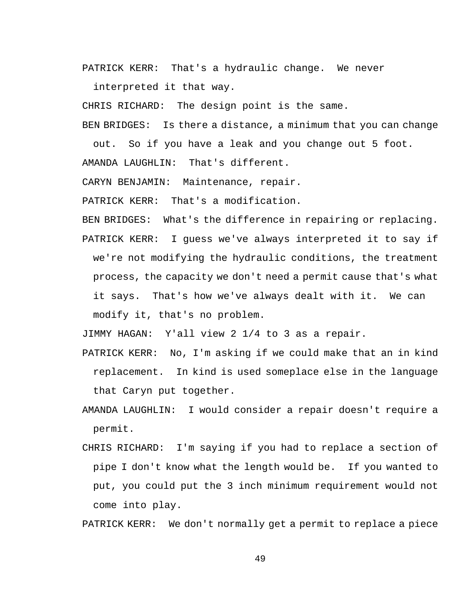PATRICK KERR: That's a hydraulic change. We never

interpreted it that way.

CHRIS RICHARD: The design point is the same.

BEN BRIDGES: Is there a distance, a minimum that you can change

out. So if you have a leak and you change out 5 foot.

AMANDA LAUGHLIN: That's different.

CARYN BENJAMIN: Maintenance, repair.

PATRICK KERR: That's a modification.

BEN BRIDGES: What's the difference in repairing or replacing.

PATRICK KERR: I guess we've always interpreted it to say if we're not modifying the hydraulic conditions, the treatment process, the capacity we don't need a permit cause that's what it says. That's how we've always dealt with it. We can modify it, that's no problem.

JIMMY HAGAN: Y'all view 2 1/4 to 3 as a repair.

- PATRICK KERR: No, I'm asking if we could make that an in kind replacement. In kind is used someplace else in the language that Caryn put together.
- AMANDA LAUGHLIN: I would consider a repair doesn't require a permit.
- CHRIS RICHARD: I'm saying if you had to replace a section of pipe I don't know what the length would be. If you wanted to put, you could put the 3 inch minimum requirement would not come into play.

PATRICK KERR: We don't normally get a permit to replace a piece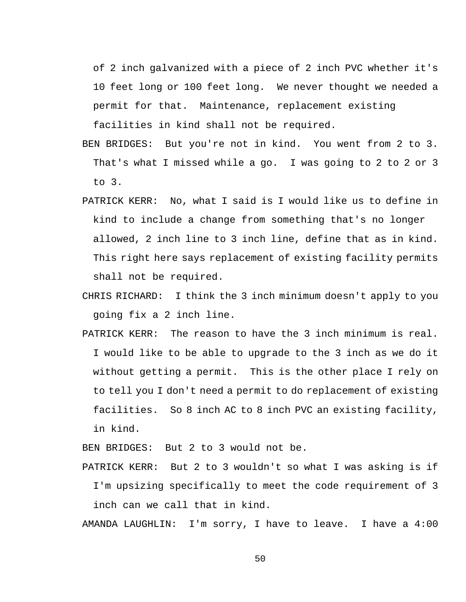of 2 inch galvanized with a piece of 2 inch PVC whether it's 10 feet long or 100 feet long. We never thought we needed a permit for that. Maintenance, replacement existing

facilities in kind shall not be required.

- BEN BRIDGES: But you're not in kind. You went from 2 to 3. That's what I missed while a go. I was going to 2 to 2 or 3 to 3.
- PATRICK KERR: No, what I said is I would like us to define in kind to include a change from something that's no longer allowed, 2 inch line to 3 inch line, define that as in kind. This right here says replacement of existing facility permits shall not be required.
- CHRIS RICHARD: I think the 3 inch minimum doesn't apply to you going fix a 2 inch line.
- PATRICK KERR: The reason to have the 3 inch minimum is real. I would like to be able to upgrade to the 3 inch as we do it without getting a permit. This is the other place I rely on to tell you I don't need a permit to do replacement of existing facilities. So 8 inch AC to 8 inch PVC an existing facility, in kind.

BEN BRIDGES: But 2 to 3 would not be.

PATRICK KERR: But 2 to 3 wouldn't so what I was asking is if I'm upsizing specifically to meet the code requirement of 3 inch can we call that in kind.

AMANDA LAUGHLIN: I'm sorry, I have to leave. I have a 4:00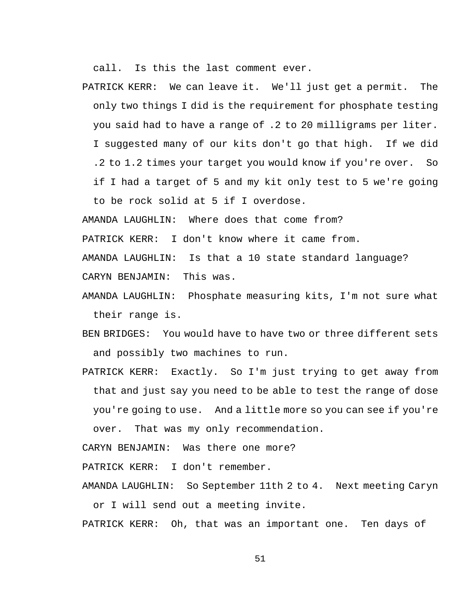call. Is this the last comment ever.

PATRICK KERR: We can leave it. We'll just get a permit. The only two things I did is the requirement for phosphate testing you said had to have a range of .2 to 20 milligrams per liter. I suggested many of our kits don't go that high. If we did .2 to 1.2 times your target you would know if you're over. So if I had a target of 5 and my kit only test to 5 we're going to be rock solid at 5 if I overdose.

AMANDA LAUGHLIN: Where does that come from?

PATRICK KERR: I don't know where it came from.

AMANDA LAUGHLIN: Is that a 10 state standard language?

CARYN BENJAMIN: This was.

- AMANDA LAUGHLIN: Phosphate measuring kits, I'm not sure what their range is.
- BEN BRIDGES: You would have to have two or three different sets and possibly two machines to run.
- PATRICK KERR: Exactly. So I'm just trying to get away from that and just say you need to be able to test the range of dose you're going to use. And a little more so you can see if you're over. That was my only recommendation.

CARYN BENJAMIN: Was there one more?

PATRICK KERR: I don't remember.

AMANDA LAUGHLIN: So September 11th 2 to 4. Next meeting Caryn or I will send out a meeting invite.

PATRICK KERR: Oh, that was an important one. Ten days of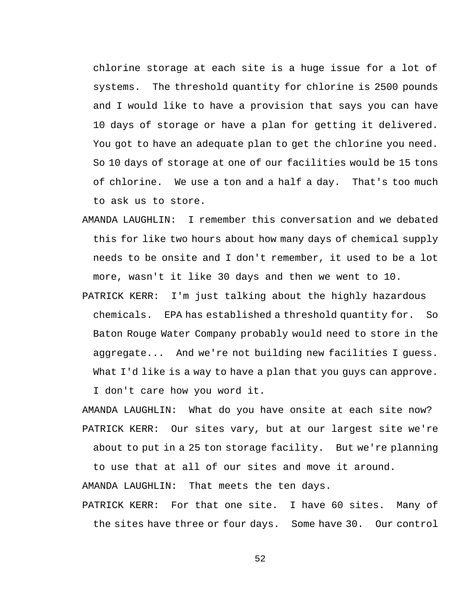chlorine storage at each site is a huge issue for a lot of systems. The threshold quantity for chlorine is 2500 pounds and I would like to have a provision that says you can have 10 days of storage or have a plan for getting it delivered. You got to have an adequate plan to get the chlorine you need. So 10 days of storage at one of our facilities would be 15 tons of chlorine. We use a ton and a half a day. That's too much to ask us to store.

- AMANDA LAUGHLIN: I remember this conversation and we debated this for like two hours about how many days of chemical supply needs to be onsite and I don't remember, it used to be a lot more, wasn't it like 30 days and then we went to 10.
- PATRICK KERR: I'm just talking about the highly hazardous chemicals. EPA has established a threshold quantity for. So Baton Rouge Water Company probably would need to store in the aggregate... And we're not building new facilities I guess. What I'd like is a way to have a plan that you guys can approve. I don't care how you word it.

AMANDA LAUGHLIN: What do you have onsite at each site now? PATRICK KERR: Our sites vary, but at our largest site we're about to put in a 25 ton storage facility. But we're planning

to use that at all of our sites and move it around.

AMANDA LAUGHLIN: That meets the ten days.

PATRICK KERR: For that one site. I have 60 sites. Many of the sites have three or four days. Some have 30. Our control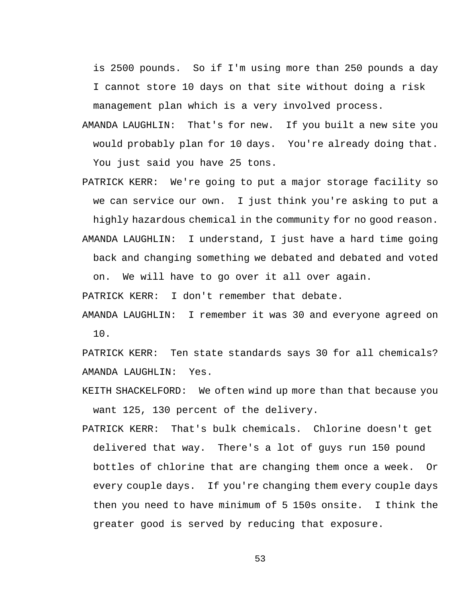is 2500 pounds. So if I'm using more than 250 pounds a day I cannot store 10 days on that site without doing a risk management plan which is a very involved process.

- AMANDA LAUGHLIN: That's for new. If you built a new site you would probably plan for 10 days. You're already doing that. You just said you have 25 tons.
- PATRICK KERR: We're going to put a major storage facility so we can service our own. I just think you're asking to put a highly hazardous chemical in the community for no good reason. AMANDA LAUGHLIN: I understand, I just have a hard time going

back and changing something we debated and debated and voted on. We will have to go over it all over again.

PATRICK KERR: I don't remember that debate.

AMANDA LAUGHLIN: I remember it was 30 and everyone agreed on 10.

PATRICK KERR: Ten state standards says 30 for all chemicals? AMANDA LAUGHLIN: Yes.

- KEITH SHACKELFORD: We often wind up more than that because you want 125, 130 percent of the delivery.
- PATRICK KERR: That's bulk chemicals. Chlorine doesn't get delivered that way. There's a lot of guys run 150 pound bottles of chlorine that are changing them once a week. Or every couple days. If you're changing them every couple days then you need to have minimum of 5 150s onsite. I think the greater good is served by reducing that exposure.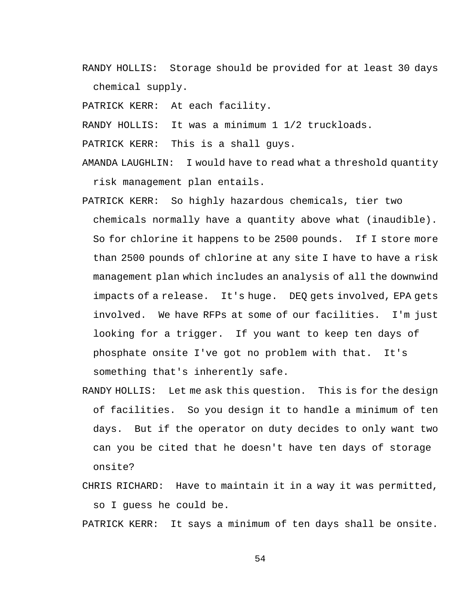RANDY HOLLIS: Storage should be provided for at least 30 days chemical supply.

PATRICK KERR: At each facility.

RANDY HOLLIS: It was a minimum 1 1/2 truckloads.

PATRICK KERR: This is a shall guys.

AMANDA LAUGHLIN: I would have to read what a threshold quantity risk management plan entails.

- PATRICK KERR: So highly hazardous chemicals, tier two chemicals normally have a quantity above what (inaudible). So for chlorine it happens to be 2500 pounds. If I store more than 2500 pounds of chlorine at any site I have to have a risk management plan which includes an analysis of all the downwind impacts of a release. It's huge. DEQ gets involved, EPA gets involved. We have RFPs at some of our facilities. I'm just looking for a trigger. If you want to keep ten days of phosphate onsite I've got no problem with that. It's something that's inherently safe.
- RANDY HOLLIS: Let me ask this question. This is for the design of facilities. So you design it to handle a minimum of ten days. But if the operator on duty decides to only want two can you be cited that he doesn't have ten days of storage onsite?
- CHRIS RICHARD: Have to maintain it in a way it was permitted, so I guess he could be.

PATRICK KERR: It says a minimum of ten days shall be onsite.